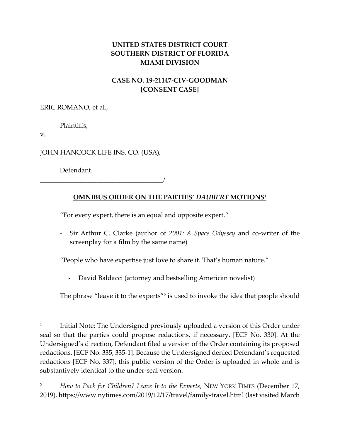## **UNITED STATES DISTRICT COURT SOUTHERN DISTRICT OF FLORIDA MIAMI DIVISION**

# **CASE NO. 19-21147-CIV-GOODMAN [CONSENT CASE]**

ERIC ROMANO, et al.,

Plaintiffs,

v.

JOHN HANCOCK LIFE INS. CO. (USA),

Defendant.

\_\_\_\_\_\_\_\_\_\_\_\_\_\_\_\_\_\_\_\_\_\_\_\_\_\_\_\_\_\_\_\_\_\_\_\_\_/

## **OMNIBUS ORDER ON THE PARTIES'** *DAUBERT* **MOTIONS<sup>1</sup>**

"For every expert, there is an equal and opposite expert."

- Sir Arthur C. Clarke (author of *2001: A Space Odyssey* and co-writer of the screenplay for a film by the same name)

"People who have expertise just love to share it. That's human nature."

- David Baldacci (attorney and bestselling American novelist)

The phrase "leave it to the experts"<sup>2</sup> is used to invoke the idea that people should

<sup>1</sup> Initial Note: The Undersigned previously uploaded a version of this Order under seal so that the parties could propose redactions, if necessary. [ECF No. 330]. At the Undersigned's direction, Defendant filed a version of the Order containing its proposed redactions. [ECF No. 335; 335-1]. Because the Undersigned denied Defendant's requested redactions [ECF No. 337], this public version of the Order is uploaded in whole and is substantively identical to the under-seal version.

<sup>2</sup> *How to Pack for Children? Leave It to the Experts*, NEW YORK TIMES (December 17, 2019), https://www.nytimes.com/2019/12/17/travel/family-travel.html (last visited March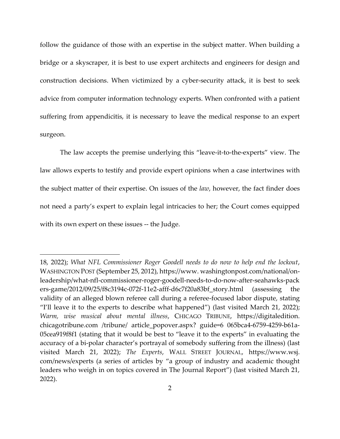follow the guidance of those with an expertise in the subject matter. When building a bridge or a skyscraper, it is best to use expert architects and engineers for design and construction decisions. When victimized by a cyber-security attack, it is best to seek advice from computer information technology experts. When confronted with a patient suffering from appendicitis, it is necessary to leave the medical response to an expert surgeon.

The law accepts the premise underlying this "leave-it-to-the-experts" view. The law allows experts to testify and provide expert opinions when a case intertwines with the subject matter of their expertise. On issues of the *law*, however, the fact finder does not need a party's expert to explain legal intricacies to her; the Court comes equipped with its own expert on these issues -- the Judge.

<sup>18, 2022);</sup> *What NFL Commissioner Roger Goodell needs to do now to help end the lockout*, WASHINGTON POST (September 25, 2012), https://www. washingtonpost.com/national/onleadership/what-nfl-commissioner-roger-goodell-needs-to-do-now-after-seahawks-pack ers-game/2012/09/25/f8c3194c-072f-11e2-afff-d6c7f20a83bf\_story.html (assessing the validity of an alleged blown referee call during a referee-focused labor dispute, stating "I'll leave it to the experts to describe what happened") (last visited March 21, 2022); *Warm, wise musical about mental illness*, CHICAGO TRIBUNE, https://digitaledition. chicagotribune.com /tribune/ article\_popover.aspx? guide=6 065bca4-6759-4259-b61a-05cea919f8f1 (stating that it would be best to "leave it to the experts" in evaluating the accuracy of a bi-polar character's portrayal of somebody suffering from the illness) (last visited March 21, 2022); *The Experts*, WALL STREET JOURNAL, https://www.wsj. com/news/experts (a series of articles by "a group of industry and academic thought leaders who weigh in on topics covered in The Journal Report") (last visited March 21, 2022).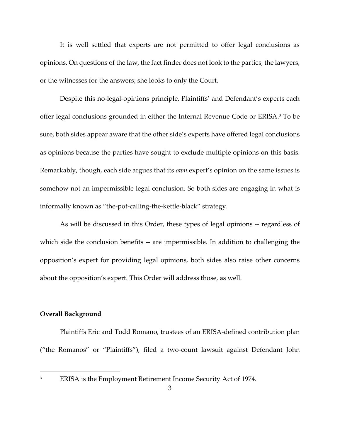It is well settled that experts are not permitted to offer legal conclusions as opinions. On questions of the law, the fact finder does not look to the parties, the lawyers, or the witnesses for the answers; she looks to only the Court.

Despite this no-legal-opinions principle, Plaintiffs' and Defendant's experts each offer legal conclusions grounded in either the Internal Revenue Code or ERISA.<sup>3</sup> To be sure, both sides appear aware that the other side's experts have offered legal conclusions as opinions because the parties have sought to exclude multiple opinions on this basis. Remarkably, though, each side argues that its *own* expert's opinion on the same issues is somehow not an impermissible legal conclusion. So both sides are engaging in what is informally known as "the-pot-calling-the-kettle-black" strategy.

As will be discussed in this Order, these types of legal opinions -- regardless of which side the conclusion benefits -- are impermissible. In addition to challenging the opposition's expert for providing legal opinions, both sides also raise other concerns about the opposition's expert. This Order will address those, as well.

## **Overall Background**

Plaintiffs Eric and Todd Romano, trustees of an ERISA-defined contribution plan ("the Romanos" or "Plaintiffs"), filed a two-count lawsuit against Defendant John

<sup>&</sup>lt;sup>3</sup> ERISA is the Employment Retirement Income Security Act of 1974.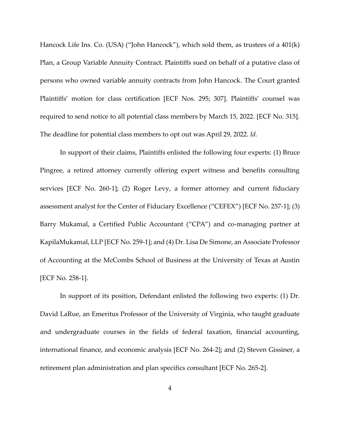Hancock Life Ins. Co. (USA) ("John Hancock"), which sold them, as trustees of a 401(k) Plan, a Group Variable Annuity Contract. Plaintiffs sued on behalf of a putative class of persons who owned variable annuity contracts from John Hancock. The Court granted Plaintiffs' motion for class certification [ECF Nos. 295; 307]. Plaintiffs' counsel was required to send notice to all potential class members by March 15, 2022. [ECF No. 315]. The deadline for potential class members to opt out was April 29, 2022. *Id.* 

In support of their claims, Plaintiffs enlisted the following four experts: (1) Bruce Pingree, a retired attorney currently offering expert witness and benefits consulting services [ECF No. 260-1]; (2) Roger Levy, a former attorney and current fiduciary assessment analyst for the Center of Fiduciary Excellence ("CEFEX") [ECF No. 257-1]; (3) Barry Mukamal, a Certified Public Accountant ("CPA") and co-managing partner at KapilaMukamal, LLP [ECF No. 259-1]; and (4) Dr. Lisa De Simone, an Associate Professor of Accounting at the McCombs School of Business at the University of Texas at Austin [ECF No. 258-1].

In support of its position, Defendant enlisted the following two experts: (1) Dr. David LaRue, an Emeritus Professor of the University of Virginia, who taught graduate and undergraduate courses in the fields of federal taxation, financial accounting, international finance, and economic analysis [ECF No. 264-2]; and (2) Steven Gissiner, a retirement plan administration and plan specifics consultant [ECF No. 265-2].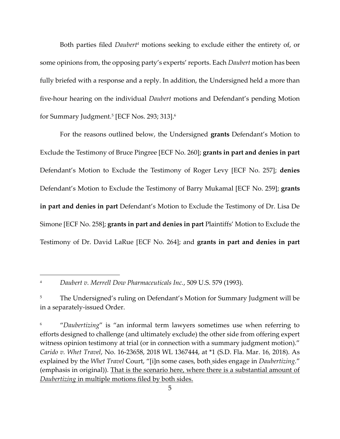Both parties filed *Daubert<sup>4</sup>* motions seeking to exclude either the entirety of, or some opinions from, the opposing party's experts' reports. Each *Daubert* motion has been fully briefed with a response and a reply. In addition, the Undersigned held a more than five-hour hearing on the individual *Daubert* motions and Defendant's pending Motion for Summary Judgment.<sup>5</sup> [ECF Nos. 293; 313]. 6

For the reasons outlined below, the Undersigned **grants** Defendant's Motion to Exclude the Testimony of Bruce Pingree [ECF No. 260]; **grants in part and denies in part**  Defendant's Motion to Exclude the Testimony of Roger Levy [ECF No. 257]; **denies**  Defendant's Motion to Exclude the Testimony of Barry Mukamal [ECF No. 259]; **grants in part and denies in part** Defendant's Motion to Exclude the Testimony of Dr. Lisa De Simone [ECF No. 258]; **grants in part and denies in part** Plaintiffs' Motion to Exclude the Testimony of Dr. David LaRue [ECF No. 264]; and **grants in part and denies in part**

<sup>4</sup> *Daubert v. Merrell Dow Pharmaceuticals Inc.*, 509 U.S. 579 (1993).

<sup>&</sup>lt;sup>5</sup> The Undersigned's ruling on Defendant's Motion for Summary Judgment will be in a separately-issued Order.

<sup>6</sup> "*Daubertizing*" is "an informal term lawyers sometimes use when referring to efforts designed to challenge (and ultimately exclude) the other side from offering expert witness opinion testimony at trial (or in connection with a summary judgment motion)." *Carido v. Whet Travel*, No. 16-23658, 2018 WL 1367444, at \*1 (S.D. Fla. Mar. 16, 2018). As explained by the *Whet Travel* Court, "[i]n some cases, both sides engage in *Daubertizing.*" (emphasis in original)). That is the scenario here, where there is a substantial amount of *Daubertizing* in multiple motions filed by both sides.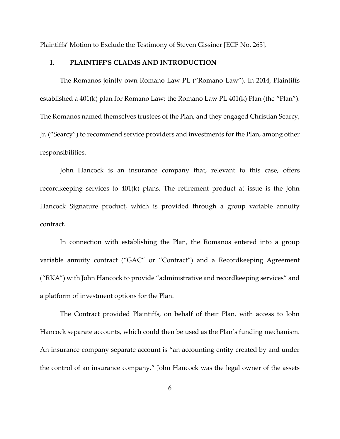Plaintiffs' Motion to Exclude the Testimony of Steven Gissiner [ECF No. 265].

## **I. PLAINTIFF'S CLAIMS AND INTRODUCTION**

The Romanos jointly own Romano Law PL ("Romano Law"). In 2014, Plaintiffs established a 401(k) plan for Romano Law: the Romano Law PL 401(k) Plan (the "Plan"). The Romanos named themselves trustees of the Plan, and they engaged Christian Searcy, Jr. ("Searcy") to recommend service providers and investments for the Plan, among other responsibilities.

John Hancock is an insurance company that, relevant to this case, offers recordkeeping services to 401(k) plans. The retirement product at issue is the John Hancock Signature product, which is provided through a group variable annuity contract.

In connection with establishing the Plan, the Romanos entered into a group variable annuity contract ("GAC" or "Contract") and a Recordkeeping Agreement ("RKA") with John Hancock to provide "administrative and recordkeeping services" and a platform of investment options for the Plan.

The Contract provided Plaintiffs, on behalf of their Plan, with access to John Hancock separate accounts, which could then be used as the Plan's funding mechanism. An insurance company separate account is "an accounting entity created by and under the control of an insurance company." John Hancock was the legal owner of the assets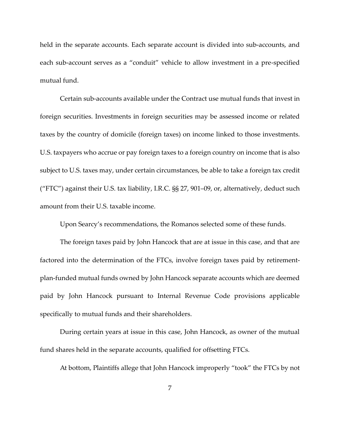held in the separate accounts. Each separate account is divided into sub-accounts, and each sub-account serves as a "conduit" vehicle to allow investment in a pre-specified mutual fund.

Certain sub-accounts available under the Contract use mutual funds that invest in foreign securities. Investments in foreign securities may be assessed income or related taxes by the country of domicile (foreign taxes) on income linked to those investments. U.S. taxpayers who accrue or pay foreign taxes to a foreign country on income that is also subject to U.S. taxes may, under certain circumstances, be able to take a foreign tax credit ("FTC") against their U.S. tax liability, I.R.C. §§ 27, 901–09, or, alternatively, deduct such amount from their U.S. taxable income.

Upon Searcy's recommendations, the Romanos selected some of these funds.

The foreign taxes paid by John Hancock that are at issue in this case, and that are factored into the determination of the FTCs, involve foreign taxes paid by retirementplan-funded mutual funds owned by John Hancock separate accounts which are deemed paid by John Hancock pursuant to Internal Revenue Code provisions applicable specifically to mutual funds and their shareholders.

During certain years at issue in this case, John Hancock, as owner of the mutual fund shares held in the separate accounts, qualified for offsetting FTCs.

At bottom, Plaintiffs allege that John Hancock improperly "took" the FTCs by not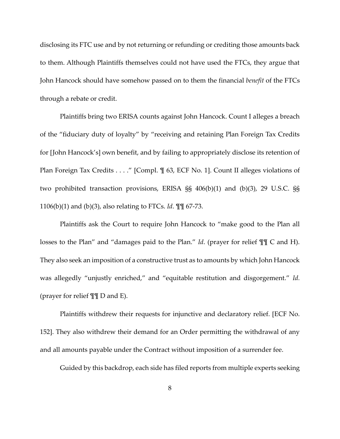disclosing its FTC use and by not returning or refunding or crediting those amounts back to them. Although Plaintiffs themselves could not have used the FTCs, they argue that John Hancock should have somehow passed on to them the financial *benefit* of the FTCs through a rebate or credit.

Plaintiffs bring two ERISA counts against John Hancock. Count I alleges a breach of the "fiduciary duty of loyalty" by "receiving and retaining Plan Foreign Tax Credits for [John Hancock's] own benefit, and by failing to appropriately disclose its retention of Plan Foreign Tax Credits . . . ." [Compl.  $\mathcal I$  63, ECF No. 1]. Count II alleges violations of two prohibited transaction provisions, ERISA §§ 406(b)(1) and (b)(3), 29 U.S.C. §§ 1106(b)(1) and (b)(3), also relating to FTCs. *Id*. ¶¶ 67-73.

Plaintiffs ask the Court to require John Hancock to "make good to the Plan all losses to the Plan" and "damages paid to the Plan." *Id*. (prayer for relief ¶¶ C and H). They also seek an imposition of a constructive trust as to amounts by which John Hancock was allegedly "unjustly enriched," and "equitable restitution and disgorgement." *Id.* (prayer for relief ¶¶ D and E).

Plaintiffs withdrew their requests for injunctive and declaratory relief. [ECF No. 152]. They also withdrew their demand for an Order permitting the withdrawal of any and all amounts payable under the Contract without imposition of a surrender fee.

Guided by this backdrop, each side has filed reports from multiple experts seeking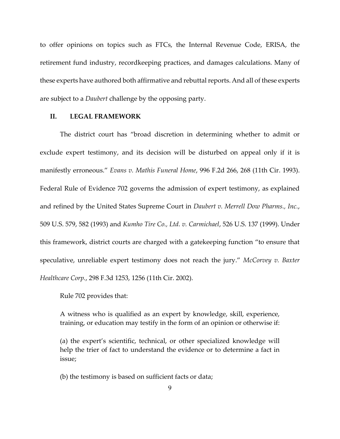to offer opinions on topics such as FTCs, the Internal Revenue Code, ERISA, the retirement fund industry, recordkeeping practices, and damages calculations. Many of these experts have authored both affirmative and rebuttal reports. And all of these experts are subject to a *Daubert* challenge by the opposing party.

## **II. LEGAL FRAMEWORK**

The district court has "broad discretion in determining whether to admit or exclude expert testimony, and its decision will be disturbed on appeal only if it is manifestly erroneous." *Evans v. Mathis Funeral Home*[, 996 F.2d 266, 268 \(11th Cir. 1993\).](https://1.next.westlaw.com/Link/Document/FullText?findType=Y&serNum=1993139498&pubNum=0000350&originatingDoc=Id04ad730cb0911e8b1cdeab7e1f6f07a&refType=RP&fi=co_pp_sp_350_268&originationContext=document&transitionType=DocumentItem&contextData=(sc.Search)#co_pp_sp_350_268) [Federal Rule of Evidence 702](https://1.next.westlaw.com/Link/Document/FullText?findType=L&pubNum=1000607&cite=USFRER702&originatingDoc=Id04ad730cb0911e8b1cdeab7e1f6f07a&refType=LQ&originationContext=document&transitionType=DocumentItem&contextData=(sc.Search)) governs the admission of expert testimony, as explained and refined by the United States Supreme Court in *Daubert v. Merrell Dow Pharms., Inc.*, 509 U.S. 579, 582 (1993) and *Kumho Tire Co., Ltd. v. Carmichael*, 526 U.S. 137 (1999). Under this framework, district courts are charged with a gatekeeping function "to ensure that speculative, unreliable expert testimony does not reach the jury." *McCorvey v. Baxter Healthcare Corp.*, 298 F.3d 1253, 1256 (11th Cir. 2002).

[Rule 702](https://1.next.westlaw.com/Link/Document/FullText?findType=L&pubNum=1000607&cite=USFRER702&originatingDoc=Id04ad730cb0911e8b1cdeab7e1f6f07a&refType=LQ&originationContext=document&transitionType=DocumentItem&contextData=(sc.Search)) provides that:

A witness who is qualified as an expert by knowledge, skill, experience, training, or education may testify in the form of an opinion or otherwise if:

(a) the expert's scientific, technical, or other specialized knowledge will help the trier of fact to understand the evidence or to determine a fact in issue;

(b) the testimony is based on sufficient facts or data;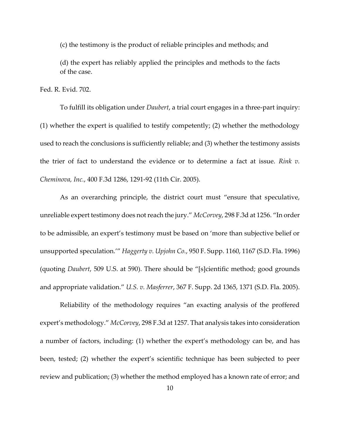(c) the testimony is the product of reliable principles and methods; and

(d) the expert has reliably applied the principles and methods to the facts of the case.

[Fed. R. Evid. 702.](https://1.next.westlaw.com/Link/Document/FullText?findType=L&pubNum=1000607&cite=USFRER702&originatingDoc=Id04ad730cb0911e8b1cdeab7e1f6f07a&refType=LQ&originationContext=document&transitionType=DocumentItem&contextData=(sc.Search))

To fulfill its obligation under *Daubert*, a trial court engages in a three-part inquiry: (1) whether the expert is qualified to testify competently; (2) whether the methodology used to reach the conclusions is sufficiently reliable; and (3) whether the testimony assists the trier of fact to understand the evidence or to determine a fact at issue. *Rink v. Cheminova, Inc.*, 400 F.3d 1286, 1291-92 (11th Cir. 2005).

As an overarching principle, the district court must "ensure that speculative, unreliable expert testimony does not reach the jury." *McCorvey*, 298 F.3d at 1256. "In order to be admissible, an expert's testimony must be based on 'more than subjective belief or unsupported speculation.'" *Haggerty v. Upjohn Co.*, 950 F. Supp. 1160, 1167 (S.D. Fla. 1996) (quoting *Daubert*[, 509 U.S. at 590](https://1.next.westlaw.com/Link/Document/FullText?findType=Y&serNum=1993130674&pubNum=0000780&originatingDoc=I5d898650365711ea9c50eae3965d52d0&refType=RP&fi=co_pp_sp_780_590&originationContext=document&transitionType=DocumentItem&contextData=(sc.Search)#co_pp_sp_780_590)). There should be "[s]cientific method; good grounds and appropriate validation." *U.S. v. Masferrer*, 367 F. Supp. 2d 1365, 1371 (S.D. Fla. 2005).

Reliability of the methodology requires "an exacting analysis of the proffered expert's methodology." *McCorvey*[, 298 F.3d at 1257.](https://1.next.westlaw.com/Link/Document/FullText?findType=Y&serNum=2002464438&pubNum=0000506&originatingDoc=Id04ad730cb0911e8b1cdeab7e1f6f07a&refType=RP&fi=co_pp_sp_506_1257&originationContext=document&transitionType=DocumentItem&contextData=(sc.Search)#co_pp_sp_506_1257) That analysis takes into consideration a number of factors, including: (1) whether the expert's methodology can be, and has been, tested; (2) whether the expert's scientific technique has been subjected to peer review and publication; (3) whether the method employed has a known rate of error; and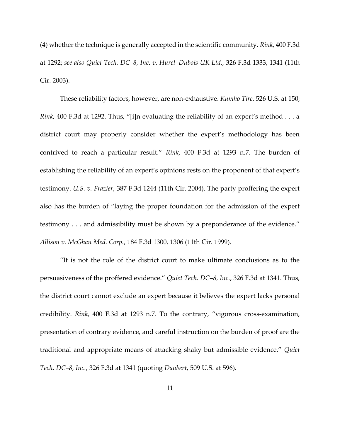(4) whether the technique is generally accepted in the scientific community. *Rink*[, 400 F.3d](https://1.next.westlaw.com/Link/Document/FullText?findType=Y&serNum=2006269607&pubNum=0000506&originatingDoc=Id04ad730cb0911e8b1cdeab7e1f6f07a&refType=RP&fi=co_pp_sp_506_1292&originationContext=document&transitionType=DocumentItem&contextData=(sc.Search)#co_pp_sp_506_1292)  [at 1292;](https://1.next.westlaw.com/Link/Document/FullText?findType=Y&serNum=2006269607&pubNum=0000506&originatingDoc=Id04ad730cb0911e8b1cdeab7e1f6f07a&refType=RP&fi=co_pp_sp_506_1292&originationContext=document&transitionType=DocumentItem&contextData=(sc.Search)#co_pp_sp_506_1292) *see also Quiet Tech. DC–8, Inc. v. Hurel–Dubois UK Ltd.*, 326 F.3d 1333, 1341 (11th Cir. 2003).

These reliability factors, however, are non-exhaustive. *Kumho Tire*, 526 U.S. at 150; *Rink*[, 400 F.3d at 1292](https://1.next.westlaw.com/Link/Document/FullText?findType=Y&serNum=2006269607&pubNum=0000506&originatingDoc=Id04ad730cb0911e8b1cdeab7e1f6f07a&refType=RP&fi=co_pp_sp_506_1292&originationContext=document&transitionType=DocumentItem&contextData=(sc.Search)#co_pp_sp_506_1292). Thus, "[i]n evaluating the reliability of an expert's method . . . a district court may properly consider whether the expert's methodology has been contrived to reach a particular result." *Rink*[, 400 F.3d at 1293 n.7.](https://1.next.westlaw.com/Link/Document/FullText?findType=Y&serNum=2006269607&pubNum=0000506&originatingDoc=Id04ad730cb0911e8b1cdeab7e1f6f07a&refType=RP&fi=co_pp_sp_506_1293&originationContext=document&transitionType=DocumentItem&contextData=(sc.Search)#co_pp_sp_506_1293) The burden of establishing the reliability of an expert's opinions rests on the proponent of that expert's testimony. *U.S. v. Frazier*[, 387 F.3d 1244 \(11th Cir. 2004\).](https://1.next.westlaw.com/Link/Document/FullText?findType=Y&serNum=2005336649&pubNum=0000506&originatingDoc=Id04ad730cb0911e8b1cdeab7e1f6f07a&refType=RP&originationContext=document&transitionType=DocumentItem&contextData=(sc.Search)) The party proffering the expert also has the burden of "laying the proper foundation for the admission of the expert testimony . . . and admissibility must be shown by a preponderance of the evidence." *Allison v. McGhan Med. Corp.*, 184 F.3d 1300, 1306 (11th Cir. 1999).

"It is not the role of the district court to make ultimate conclusions as to the persuasiveness of the proffered evidence." *Quiet Tech. DC–8, Inc.*, 326 F.3d at 1341. Thus, the district court cannot exclude an expert because it believes the expert lacks personal credibility. *Rink*[, 400 F.3d at 1293 n.7](https://1.next.westlaw.com/Link/Document/FullText?findType=Y&serNum=2006269607&pubNum=0000506&originatingDoc=Id04ad730cb0911e8b1cdeab7e1f6f07a&refType=RP&fi=co_pp_sp_506_1293&originationContext=document&transitionType=DocumentItem&contextData=(sc.Search)#co_pp_sp_506_1293). To the contrary, "vigorous cross-examination, presentation of contrary evidence, and careful instruction on the burden of proof are the traditional and appropriate means of attacking shaky but admissible evidence." *Quiet Tech. DC–8, Inc.*, 326 F.3d at 1341 (quoting *Daubert*[, 509 U.S. at 596\)](https://1.next.westlaw.com/Link/Document/FullText?findType=Y&serNum=1993130674&pubNum=0000780&originatingDoc=Id04ad730cb0911e8b1cdeab7e1f6f07a&refType=RP&fi=co_pp_sp_780_596&originationContext=document&transitionType=DocumentItem&contextData=(sc.Search)#co_pp_sp_780_596).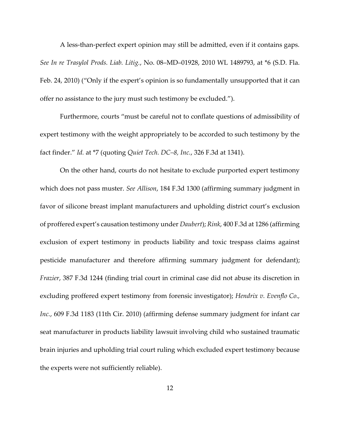A less-than-perfect expert opinion may still be admitted, even if it contains gaps. *See In re Trasylol Prods. Liab. Litig.*, No. 08–MD–[01928, 2010 WL 1489793, at \\*6 \(S.D. Fla.](https://1.next.westlaw.com/Link/Document/FullText?findType=Y&serNum=2021757382&pubNum=0000999&originatingDoc=Id04ad730cb0911e8b1cdeab7e1f6f07a&refType=RP&originationContext=document&transitionType=DocumentItem&contextData=(sc.Search))  [Feb. 24, 2010\)](https://1.next.westlaw.com/Link/Document/FullText?findType=Y&serNum=2021757382&pubNum=0000999&originatingDoc=Id04ad730cb0911e8b1cdeab7e1f6f07a&refType=RP&originationContext=document&transitionType=DocumentItem&contextData=(sc.Search)) ("Only if the expert's opinion is so fundamentally unsupported that it can offer no assistance to the jury must such testimony be excluded.").

Furthermore, courts "must be careful not to conflate questions of admissibility of expert testimony with the weight appropriately to be accorded to such testimony by the fact finder." *Id.* [at \\*7](https://1.next.westlaw.com/Link/Document/FullText?findType=Y&serNum=2021757382&pubNum=0000999&originatingDoc=Id04ad730cb0911e8b1cdeab7e1f6f07a&refType=RP&originationContext=document&transitionType=DocumentItem&contextData=(sc.Search)) (quoting *Quiet Tech. DC–8, Inc.*[, 326 F.3d at 1341\)](https://1.next.westlaw.com/Link/Document/FullText?findType=Y&serNum=2003285060&pubNum=0000506&originatingDoc=Id04ad730cb0911e8b1cdeab7e1f6f07a&refType=RP&fi=co_pp_sp_506_1341&originationContext=document&transitionType=DocumentItem&contextData=(sc.Search)#co_pp_sp_506_1341).

On the other hand, courts do not hesitate to exclude purported expert testimony which does not pass muster. *See Allison*, 184 F.3d 1300 (affirming summary judgment in favor of silicone breast implant manufacturers and upholding district court's exclusion of proffered expert's causation testimony under *Daubert*); *Rink*, 400 F.3d at 1286 (affirming exclusion of expert testimony in products liability and toxic trespass claims against pesticide manufacturer and therefore affirming summary judgment for defendant); *Frazier*, 387 F.3d 1244 (finding trial court in criminal case did not abuse its discretion in excluding proffered expert testimony from forensic investigator); *Hendrix v. Evenflo Co., Inc.*, 609 F.3d 1183 (11th Cir. 2010) (affirming defense summary judgment for infant car seat manufacturer in products liability lawsuit involving child who sustained traumatic brain injuries and upholding trial court ruling which excluded expert testimony because the experts were not sufficiently reliable).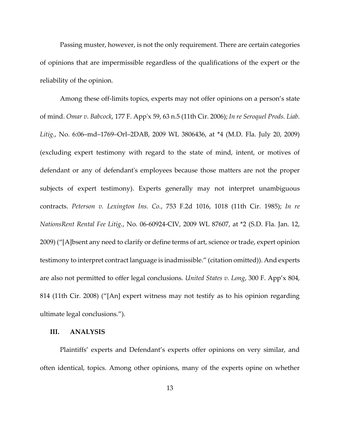Passing muster, however, is not the only requirement. There are certain categories of opinions that are impermissible regardless of the qualifications of the expert or the reliability of the opinion.

Among these off-limits topics, experts may not offer opinions on a person's state of mind. *Omar v. Babcock*, 177 F. App'x 59, 63 n.5 (11th Cir. 2006); *In re Seroquel Prods. Liab. Litig.*, No. 6:06–md–1769–Orl–2DAB, 2009 WL 3806436, at \*4 (M.D. Fla. July 20, 2009) (excluding expert testimony with regard to the state of mind, intent, or motives of defendant or any of defendant's employees because those matters are not the proper subjects of expert testimony). Experts generally may not interpret unambiguous contracts. *Peterson v. Lexington Ins. Co.*, 753 F.2d 1016, 1018 (11th Cir. 1985); *In re NationsRent Rental Fee Litig.*, No. 06-60924-CIV, 2009 WL 87607, at \*2 (S.D. Fla. Jan. 12, 2009) ("[A]bsent any need to clarify or define terms of art, science or trade, expert opinion testimony to interpret contract language is inadmissible." (citation omitted)). And experts are also not permitted to offer legal conclusions. *United States v. Long*, 300 F. App'x 804, 814 (11th Cir. 2008) ("[An] expert witness may not testify as to his opinion regarding ultimate legal conclusions.").

## **III. ANALYSIS**

Plaintiffs' experts and Defendant's experts offer opinions on very similar, and often identical, topics. Among other opinions, many of the experts opine on whether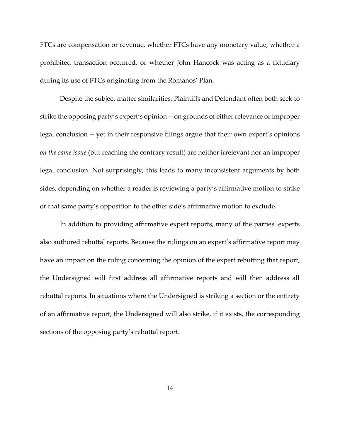FTCs are compensation or revenue, whether FTCs have any monetary value, whether a prohibited transaction occurred, or whether John Hancock was acting as a fiduciary during its use of FTCs originating from the Romanos' Plan.

Despite the subject matter similarities, Plaintiffs and Defendant often both seek to strike the opposing party's expert's opinion -- on grounds of either relevance or improper legal conclusion -- yet in their responsive filings argue that their own expert's opinions *on the same issue* (but reaching the contrary result) are neither irrelevant nor an improper legal conclusion. Not surprisingly, this leads to many inconsistent arguments by both sides, depending on whether a reader is reviewing a party's affirmative motion to strike or that same party's opposition to the other side's affirmative motion to exclude.

In addition to providing affirmative expert reports, many of the parties' experts also authored rebuttal reports. Because the rulings on an expert's affirmative report may have an impact on the ruling concerning the opinion of the expert rebutting that report, the Undersigned will first address all affirmative reports and will then address all rebuttal reports. In situations where the Undersigned is striking a section or the entirety of an affirmative report, the Undersigned will also strike, if it exists, the corresponding sections of the opposing party's rebuttal report.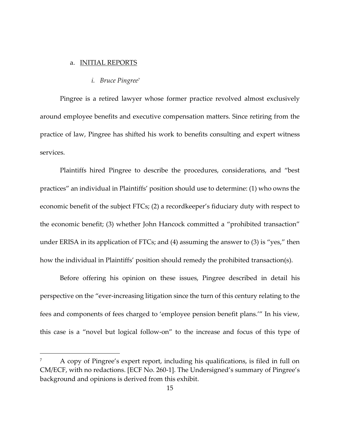#### a. INITIAL REPORTS

#### *i. Bruce Pingree<sup>7</sup>*

Pingree is a retired lawyer whose former practice revolved almost exclusively around employee benefits and executive compensation matters. Since retiring from the practice of law, Pingree has shifted his work to benefits consulting and expert witness services.

Plaintiffs hired Pingree to describe the procedures, considerations, and "best practices" an individual in Plaintiffs' position should use to determine: (1) who owns the economic benefit of the subject FTCs; (2) a recordkeeper's fiduciary duty with respect to the economic benefit; (3) whether John Hancock committed a "prohibited transaction" under ERISA in its application of FTCs; and (4) assuming the answer to (3) is "yes," then how the individual in Plaintiffs' position should remedy the prohibited transaction(s).

Before offering his opinion on these issues, Pingree described in detail his perspective on the "ever-increasing litigation since the turn of this century relating to the fees and components of fees charged to 'employee pension benefit plans.'" In his view, this case is a "novel but logical follow-on" to the increase and focus of this type of

<sup>7</sup> A copy of Pingree's expert report, including his qualifications, is filed in full on CM/ECF, with no redactions. [ECF No. 260-1]. The Undersigned's summary of Pingree's background and opinions is derived from this exhibit.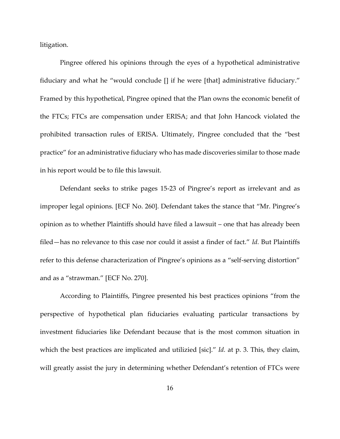litigation.

Pingree offered his opinions through the eyes of a hypothetical administrative fiduciary and what he "would conclude [] if he were [that] administrative fiduciary." Framed by this hypothetical, Pingree opined that the Plan owns the economic benefit of the FTCs; FTCs are compensation under ERISA; and that John Hancock violated the prohibited transaction rules of ERISA. Ultimately, Pingree concluded that the "best practice" for an administrative fiduciary who has made discoveries similar to those made in his report would be to file this lawsuit.

Defendant seeks to strike pages 15-23 of Pingree's report as irrelevant and as improper legal opinions. [ECF No. 260]. Defendant takes the stance that "Mr. Pingree's opinion as to whether Plaintiffs should have filed a lawsuit – one that has already been filed—has no relevance to this case nor could it assist a finder of fact." *Id.* But Plaintiffs refer to this defense characterization of Pingree's opinions as a "self-serving distortion" and as a "strawman." [ECF No. 270].

According to Plaintiffs, Pingree presented his best practices opinions "from the perspective of hypothetical plan fiduciaries evaluating particular transactions by investment fiduciaries like Defendant because that is the most common situation in which the best practices are implicated and utilizied [sic]." *Id.* at p. 3. This, they claim, will greatly assist the jury in determining whether Defendant's retention of FTCs were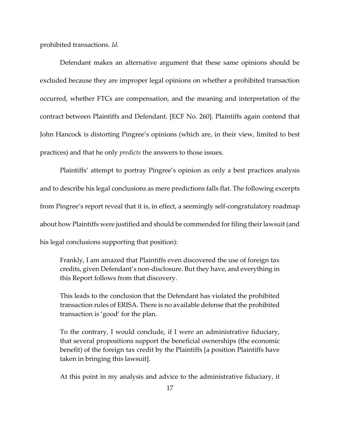prohibited transactions. *Id.* 

Defendant makes an alternative argument that these same opinions should be excluded because they are improper legal opinions on whether a prohibited transaction occurred, whether FTCs are compensation, and the meaning and interpretation of the contract between Plaintiffs and Defendant. [ECF No. 260]. Plaintiffs again contend that John Hancock is distorting Pingree's opinions (which are, in their view, limited to best practices) and that he only *predicts* the answers to those issues.

Plaintiffs' attempt to portray Pingree's opinion as only a best practices analysis and to describe his legal conclusions as mere predictions falls flat. The following excerpts from Pingree's report reveal that it is, in effect, a seemingly self-congratulatory roadmap about how Plaintiffs were justified and should be commended for filing their lawsuit (and his legal conclusions supporting that position):

Frankly, I am amazed that Plaintiffs even discovered the use of foreign tax credits, given Defendant's non-disclosure. But they have, and everything in this Report follows from that discovery.

This leads to the conclusion that the Defendant has violated the prohibited transaction rules of ERISA. There is no available defense that the prohibited transaction is 'good' for the plan.

To the contrary, I would conclude, if I were an administrative fiduciary, that several propositions support the beneficial ownerships (the economic benefit) of the foreign tax credit by the Plaintiffs [a position Plaintiffs have taken in bringing this lawsuit].

At this point in my analysis and advice to the administrative fiduciary, it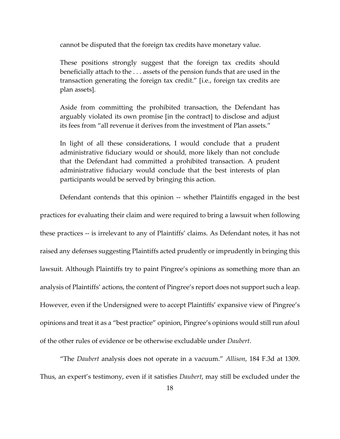cannot be disputed that the foreign tax credits have monetary value.

These positions strongly suggest that the foreign tax credits should beneficially attach to the . . . assets of the pension funds that are used in the transaction generating the foreign tax credit." [i.e., foreign tax credits are plan assets].

Aside from committing the prohibited transaction, the Defendant has arguably violated its own promise [in the contract] to disclose and adjust its fees from "all revenue it derives from the investment of Plan assets."

In light of all these considerations, I would conclude that a prudent administrative fiduciary would or should, more likely than not conclude that the Defendant had committed a prohibited transaction. A prudent administrative fiduciary would conclude that the best interests of plan participants would be served by bringing this action.

Defendant contends that this opinion -- whether Plaintiffs engaged in the best practices for evaluating their claim and were required to bring a lawsuit when following these practices -- is irrelevant to any of Plaintiffs' claims. As Defendant notes, it has not raised any defenses suggesting Plaintiffs acted prudently or imprudently in bringing this lawsuit. Although Plaintiffs try to paint Pingree's opinions as something more than an analysis of Plaintiffs' actions, the content of Pingree's report does not support such a leap. However, even if the Undersigned were to accept Plaintiffs' expansive view of Pingree's opinions and treat it as a "best practice" opinion, Pingree's opinions would still run afoul of the other rules of evidence or be otherwise excludable under *Daubert*.

"The *Daubert* analysis does not operate in a vacuum." *Allison*, 184 F.3d at 1309. Thus, an expert's testimony, even if it satisfies *Daubert*, may still be excluded under the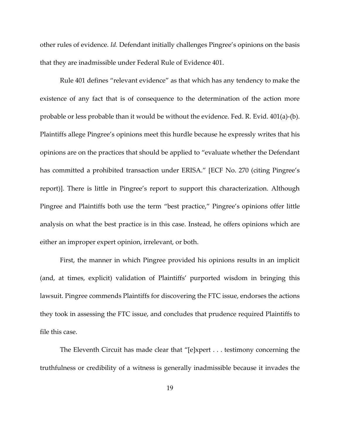other rules of evidence. *Id.* Defendant initially challenges Pingree's opinions on the basis that they are inadmissible under Federal Rule of Evidence 401.

Rule 401 defines "relevant evidence" as that which has any tendency to make the existence of any fact that is of consequence to the determination of the action more probable or less probable than it would be without the evidence. Fed. R. Evid. 401(a)-(b). Plaintiffs allege Pingree's opinions meet this hurdle because he expressly writes that his opinions are on the practices that should be applied to "evaluate whether the Defendant has committed a prohibited transaction under ERISA." [ECF No. 270 (citing Pingree's report)]. There is little in Pingree's report to support this characterization. Although Pingree and Plaintiffs both use the term "best practice," Pingree's opinions offer little analysis on what the best practice is in this case. Instead, he offers opinions which are either an improper expert opinion, irrelevant, or both.

First, the manner in which Pingree provided his opinions results in an implicit (and, at times, explicit) validation of Plaintiffs' purported wisdom in bringing this lawsuit. Pingree commends Plaintiffs for discovering the FTC issue, endorses the actions they took in assessing the FTC issue, and concludes that prudence required Plaintiffs to file this case.

The Eleventh Circuit has made clear that "[e]xpert . . . testimony concerning the truthfulness or credibility of a witness is generally inadmissible because it invades the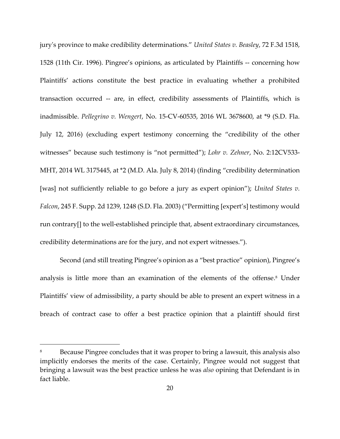jury's province to make credibility determinations." *United States v. Beasley*, 72 F.3d 1518, 1528 (11th Cir. 1996). Pingree's opinions, as articulated by Plaintiffs -- concerning how Plaintiffs' actions constitute the best practice in evaluating whether a prohibited transaction occurred -- are, in effect, credibility assessments of Plaintiffs, which is inadmissible. *Pellegrino v. Wengert*, No. 15-CV-60535, 2016 WL 3678600, at \*9 (S.D. Fla. July 12, 2016) (excluding expert testimony concerning the "credibility of the other witnesses" because such testimony is "not permitted"); *Lohr v. Zehner*, No. 2:12CV533- MHT, 2014 WL 3175445, at \*2 (M.D. Ala. July 8, 2014) (finding "credibility determination [was] not sufficiently reliable to go before a jury as expert opinion"); *United States v. Falcon*, 245 F. Supp. 2d 1239, 1248 (S.D. Fla. 2003) ("Permitting [expert's] testimony would run contrary[] to the well-established principle that, absent extraordinary circumstances, credibility determinations are for the jury, and not expert witnesses.").

Second (and still treating Pingree's opinion as a "best practice" opinion), Pingree's analysis is little more than an examination of the elements of the offense. <sup>8</sup> Under Plaintiffs' view of admissibility, a party should be able to present an expert witness in a breach of contract case to offer a best practice opinion that a plaintiff should first

Because Pingree concludes that it was proper to bring a lawsuit, this analysis also implicitly endorses the merits of the case. Certainly, Pingree would not suggest that bringing a lawsuit was the best practice unless he was *also* opining that Defendant is in fact liable.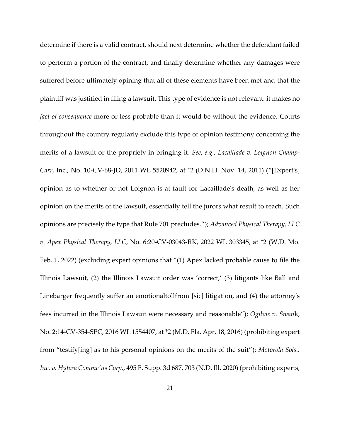determine if there is a valid contract, should next determine whether the defendant failed to perform a portion of the contract, and finally determine whether any damages were suffered before ultimately opining that all of these elements have been met and that the plaintiff was justified in filing a lawsuit. This type of evidence is not relevant: it makes no *fact of consequence* more or less probable than it would be without the evidence. Courts throughout the country regularly exclude this type of opinion testimony concerning the merits of a lawsuit or the propriety in bringing it. *See, e.g., Lacaillade v. Loignon Champ-Carr*, Inc., No. 10-CV-68-JD, 2011 WL 5520942, at \*2 (D.N.H. Nov. 14, 2011) ("[Expert's] opinion as to whether or not Loignon is at fault for Lacaillade's death, as well as her opinion on the merits of the lawsuit, essentially tell the jurors what result to reach. Such opinions are precisely the type that Rule 701 precludes."); *Advanced Physical Therapy, LLC v. Apex Physical Therapy, LLC*, No. 6:20-CV-03043-RK, 2022 WL 303345, at \*2 (W.D. Mo. Feb. 1, 2022) (excluding expert opinions that "(1) Apex lacked probable cause to file the Illinois Lawsuit, (2) the Illinois Lawsuit order was 'correct,' (3) litigants like Ball and Linebarger frequently suffer an emotionaltollfrom [sic] litigation, and (4) the attorney's fees incurred in the Illinois Lawsuit were necessary and reasonable"); *Ogilvie v. Swan*k, No. 2:14-CV-354-SPC, 2016 WL 1554407, at \*2 (M.D. Fla. Apr. 18, 2016) (prohibiting expert from "testify[ing] as to his personal opinions on the merits of the suit"); *Motorola Sols., Inc. v. Hytera Commc'ns Corp.*, 495 F. Supp. 3d 687, 703 (N.D. Ill. 2020) (prohibiting experts,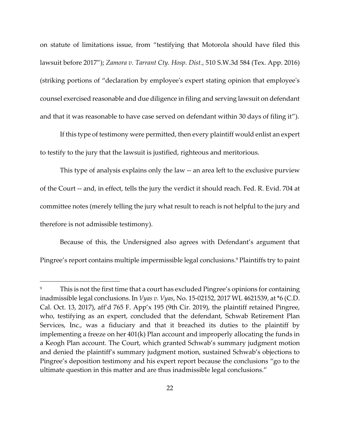on statute of limitations issue, from "testifying that Motorola should have filed this lawsuit before 2017"); *Zamora v. Tarrant Cty. Hosp. Dist.*, 510 S.W.3d 584 (Tex. App. 2016) (striking portions of "declaration by employee's expert stating opinion that employee's counsel exercised reasonable and due diligence in filing and serving lawsuit on defendant and that it was reasonable to have case served on defendant within 30 days of filing it").

If this type of testimony were permitted, then every plaintiff would enlist an expert to testify to the jury that the lawsuit is justified, righteous and meritorious.

This type of analysis explains only the law -- an area left to the exclusive purview of the Court -- and, in effect, tells the jury the verdict it should reach. Fed. R. Evid. 704 at committee notes (merely telling the jury what result to reach is not helpful to the jury and therefore is not admissible testimony).

Because of this, the Undersigned also agrees with Defendant's argument that Pingree's report contains multiple impermissible legal conclusions.<sup>9</sup> Plaintiffs try to paint

This is not the first time that a court has excluded Pingree's opinions for containing inadmissible legal conclusions. In *Vyas v. Vyas*, No. 15-02152, 2017 WL 4621539, at \*6 (C.D. Cal. Oct. 13, 2017), aff'd 765 F. App'x 195 (9th Cir. 2019), the plaintiff retained Pingree, who, testifying as an expert, concluded that the defendant, Schwab Retirement Plan Services, Inc., was a fiduciary and that it breached its duties to the plaintiff by implementing a freeze on her 401(k) Plan account and improperly allocating the funds in a Keogh Plan account. The Court, which granted Schwab's summary judgment motion and denied the plaintiff's summary judgment motion, sustained Schwab's objections to Pingree's deposition testimony and his expert report because the conclusions "go to the ultimate question in this matter and are thus inadmissible legal conclusions."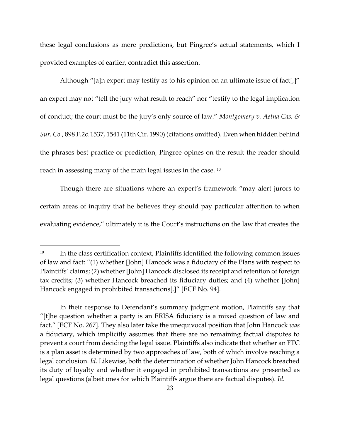these legal conclusions as mere predictions, but Pingree's actual statements, which I provided examples of earlier, contradict this assertion.

Although "[a]n expert may testify as to his opinion on an ultimate issue of fact[,]" an expert may not "tell the jury what result to reach" nor "testify to the legal implication of conduct; the court must be the jury's only source of law." *Montgomery v. Aetna Cas. & Sur. Co.*, 898 F.2d 1537, 1541 (11th Cir. 1990) (citations omitted). Even when hidden behind the phrases best practice or prediction, Pingree opines on the result the reader should reach in assessing many of the main legal issues in the case. <sup>10</sup>

Though there are situations where an expert's framework "may alert jurors to certain areas of inquiry that he believes they should pay particular attention to when evaluating evidence," ultimately it is the Court's instructions on the law that creates the

<sup>&</sup>lt;sup>10</sup> In the class certification context, Plaintiffs identified the following common issues of law and fact: "(1) whether [John] Hancock was a fiduciary of the Plans with respect to Plaintiffs' claims; (2) whether [John] Hancock disclosed its receipt and retention of foreign tax credits; (3) whether Hancock breached its fiduciary duties; and (4) whether [John] Hancock engaged in prohibited transactions[.]" [ECF No. 94].

In their response to Defendant's summary judgment motion, Plaintiffs say that "[t]he question whether a party is an ERISA fiduciary is a mixed question of law and fact." [ECF No. 267]. They also later take the unequivocal position that John Hancock *was*  a fiduciary, which implicitly assumes that there are no remaining factual disputes to prevent a court from deciding the legal issue. Plaintiffs also indicate that whether an FTC is a plan asset is determined by two approaches of law, both of which involve reaching a legal conclusion. *Id.* Likewise, both the determination of whether John Hancock breached its duty of loyalty and whether it engaged in prohibited transactions are presented as legal questions (albeit ones for which Plaintiffs argue there are factual disputes). *Id.*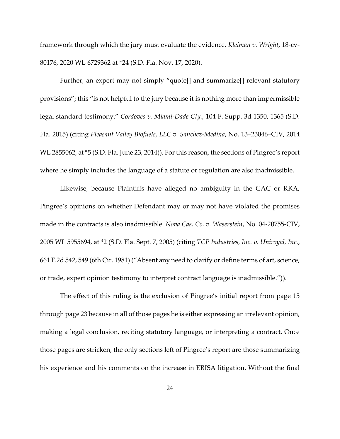framework through which the jury must evaluate the evidence. *Kleiman v. Wright*, 18-cv-80176, 2020 WL 6729362 at \*24 (S.D. Fla. Nov. 17, 2020).

Further, an expert may not simply "quote[] and summarize[] relevant statutory provisions"; this "is not helpful to the jury because it is nothing more than impermissible legal standard testimony." *Cordoves v. Miami-Dade Cty.*, 104 F. Supp. 3d 1350, 1365 (S.D. Fla. 2015) (citing *Pleasant Valley Biofuels, LLC v. Sanchez-Medina*, No. 13–23046–CIV, 2014 WL 2855062, at \*5 (S.D. Fla. June 23, 2014)). For this reason, the sections of Pingree's report where he simply includes the language of a statute or regulation are also inadmissible.

Likewise, because Plaintiffs have alleged no ambiguity in the GAC or RKA, Pingree's opinions on whether Defendant may or may not have violated the promises made in the contracts is also inadmissible. *Nova Cas. Co. v. Waserstein*, No. 04-20755-CIV, 2005 WL 5955694, at \*2 (S.D. Fla. Sept. 7, 2005) (citing *TCP Industries, Inc. v. Uniroyal, Inc.*, 661 F.2d 542, 549 (6th Cir. 1981) ("Absent any need to clarify or define terms of art, science, or trade, expert opinion testimony to interpret contract language is inadmissible.")).

The effect of this ruling is the exclusion of Pingree's initial report from page 15 through page 23 because in all of those pages he is either expressing an irrelevant opinion, making a legal conclusion, reciting statutory language, or interpreting a contract. Once those pages are stricken, the only sections left of Pingree's report are those summarizing his experience and his comments on the increase in ERISA litigation. Without the final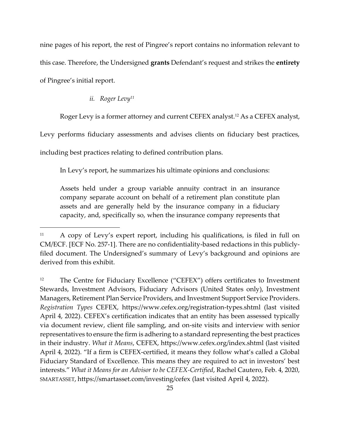nine pages of his report, the rest of Pingree's report contains no information relevant to this case. Therefore, the Undersigned **grants** Defendant's request and strikes the **entirety** of Pingree's initial report.

## *ii. Roger Levy<sup>11</sup>*

Roger Levy is a former attorney and current CEFEX analyst.<sup>12</sup> As a CEFEX analyst,

Levy performs fiduciary assessments and advises clients on fiduciary best practices,

including best practices relating to defined contribution plans.

In Levy's report, he summarizes his ultimate opinions and conclusions:

Assets held under a group variable annuity contract in an insurance company separate account on behalf of a retirement plan constitute plan assets and are generally held by the insurance company in a fiduciary capacity, and, specifically so, when the insurance company represents that

<sup>11</sup> A copy of Levy's expert report, including his qualifications, is filed in full on CM/ECF. [ECF No. 257-1]. There are no confidentiality-based redactions in this publiclyfiled document. The Undersigned's summary of Levy's background and opinions are derived from this exhibit.

<sup>12</sup> The Centre for Fiduciary Excellence ("CEFEX") offers certificates to Investment Stewards, Investment Advisors, Fiduciary Advisors (United States only), Investment Managers, Retirement Plan Service Providers, and Investment Support Service Providers. *Registration Types* CEFEX, https://www.cefex.org/registration-types.shtml (last visited April 4, 2022). CEFEX's certification indicates that an entity has been assessed typically via document review, client file sampling, and on-site visits and interview with senior representatives to ensure the firm is adhering to a standard representing the best practices in their industry. *What it Means*, CEFEX, https://www.cefex.org/index.shtml (last visited April 4, 2022). "If a firm is CEFEX-certified, it means they follow what's called a Global Fiduciary Standard of Excellence. This means they are required to act in investors' best interests." *What it Means for an Advisor to be CEFEX-Certified*, Rachel Cautero, Feb. 4, 2020, SMARTASSET, https://smartasset.com/investing/cefex (last visited April 4, 2022).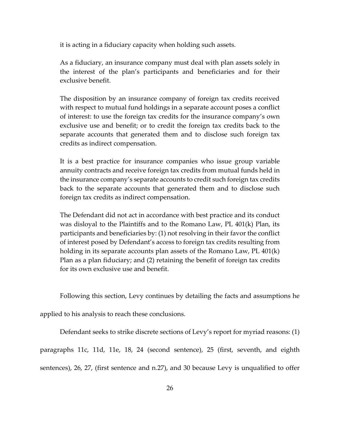it is acting in a fiduciary capacity when holding such assets.

As a fiduciary, an insurance company must deal with plan assets solely in the interest of the plan's participants and beneficiaries and for their exclusive benefit.

The disposition by an insurance company of foreign tax credits received with respect to mutual fund holdings in a separate account poses a conflict of interest: to use the foreign tax credits for the insurance company's own exclusive use and benefit; or to credit the foreign tax credits back to the separate accounts that generated them and to disclose such foreign tax credits as indirect compensation.

It is a best practice for insurance companies who issue group variable annuity contracts and receive foreign tax credits from mutual funds held in the insurance company's separate accounts to credit such foreign tax credits back to the separate accounts that generated them and to disclose such foreign tax credits as indirect compensation.

The Defendant did not act in accordance with best practice and its conduct was disloyal to the Plaintiffs and to the Romano Law, PL 401(k) Plan, its participants and beneficiaries by: (1) not resolving in their favor the conflict of interest posed by Defendant's access to foreign tax credits resulting from holding in its separate accounts plan assets of the Romano Law, PL 401(k) Plan as a plan fiduciary; and (2) retaining the benefit of foreign tax credits for its own exclusive use and benefit.

Following this section, Levy continues by detailing the facts and assumptions he

applied to his analysis to reach these conclusions.

Defendant seeks to strike discrete sections of Levy's report for myriad reasons: (1) paragraphs 11c, 11d, 11e, 18, 24 (second sentence), 25 (first, seventh, and eighth sentences), 26, 27, (first sentence and n.27), and 30 because Levy is unqualified to offer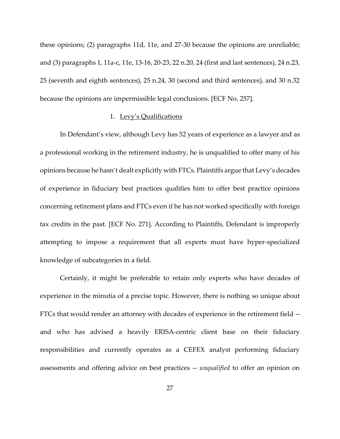these opinions; (2) paragraphs 11d, 11e, and 27-30 because the opinions are unreliable; and (3) paragraphs 1, 11a-c, 11e, 13-16, 20-23, 22 n.20, 24 (first and last sentences), 24 n.23, 25 (seventh and eighth sentences), 25 n.24, 30 (second and third sentences), and 30 n.32 because the opinions are impermissible legal conclusions. [ECF No. 257].

## 1. Levy's Qualifications

In Defendant's view, although Levy has 52 years of experience as a lawyer and as a professional working in the retirement industry, he is unqualified to offer many of his opinions because he hasn't dealt explicitly with FTCs. Plaintiffs argue that Levy's decades of experience in fiduciary best practices qualifies him to offer best practice opinions concerning retirement plans and FTCs even if he has not worked specifically with foreign tax credits in the past. [ECF No. 271]. According to Plaintiffs, Defendant is improperly attempting to impose a requirement that all experts must have hyper-specialized knowledge of subcategories in a field.

Certainly, it might be preferable to retain only experts who have decades of experience in the minutia of a precise topic. However, there is nothing so unique about FTCs that would render an attorney with decades of experience in the retirement field - and who has advised a heavily ERISA-centric client base on their fiduciary responsibilities and currently operates as a CEFEX analyst performing fiduciary assessments and offering advice on best practices -- *unqualified* to offer an opinion on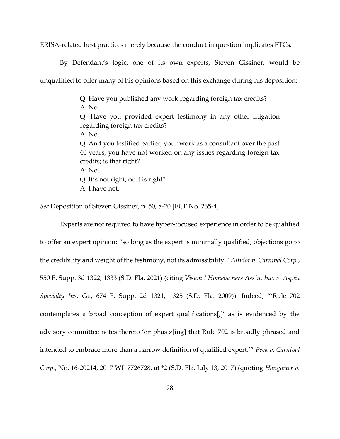ERISA-related best practices merely because the conduct in question implicates FTCs.

By Defendant's logic, one of its own experts, Steven Gissiner, would be unqualified to offer many of his opinions based on this exchange during his deposition:

> Q: Have you published any work regarding foreign tax credits? A: No. Q: Have you provided expert testimony in any other litigation regarding foreign tax credits? A: No. Q: And you testified earlier, your work as a consultant over the past 40 years, you have not worked on any issues regarding foreign tax credits; is that right? A: No. Q: It's not right, or it is right? A: I have not.

*See* Deposition of Steven Gissiner, p. 50, 8-20 [ECF No. 265-4].

Experts are not required to have hyper-focused experience in order to be qualified to offer an expert opinion: "so long as the expert is minimally qualified, objections go to the credibility and weight of the testimony, not its admissibility." *Altidor v. Carnival Corp.*, 550 F. Supp. 3d 1322, 1333 (S.D. Fla. 2021) (citing *Vision I Homeowners Ass'n, Inc. v. Aspen Specialty Ins. Co.*, 674 F. Supp. 2d 1321, 1325 (S.D. Fla. 2009)). Indeed, "'Rule 702 contemplates a broad conception of expert qualifications[,]' as is evidenced by the advisory committee notes thereto 'emphasiz[ing] that Rule 702 is broadly phrased and intended to embrace more than a narrow definition of qualified expert.'" *Peck v. Carnival Corp.*, No. 16-20214, 2017 WL 7726728, at \*2 (S.D. Fla. July 13, 2017) (quoting *Hangarter v.*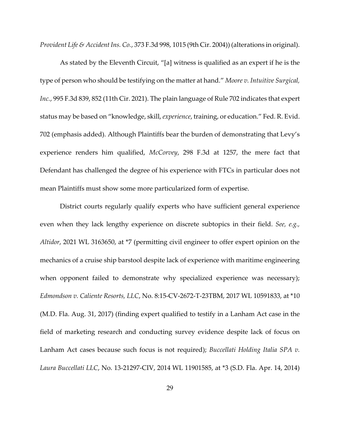*Provident Life & Accident Ins. Co.*, 373 F.3d 998, 1015 (9th Cir. 2004)) (alterations in original).

As stated by the Eleventh Circuit, "[a] witness is qualified as an expert if he is the type of person who should be testifying on the matter at hand." *Moore v. Intuitive Surgical, Inc.*, 995 F.3d 839, 852 (11th Cir. 2021). The plain language of Rule 702 indicates that expert status may be based on "knowledge, skill, *experience*, training, or education." Fed. R. Evid. 702 (emphasis added). Although Plaintiffs bear the burden of demonstrating that Levy's experience renders him qualified, *McCorvey*, 298 F.3d at 1257, the mere fact that Defendant has challenged the degree of his experience with FTCs in particular does not mean Plaintiffs must show some more particularized form of expertise.

District courts regularly qualify experts who have sufficient general experience even when they lack lengthy experience on discrete subtopics in their field. *See, e.g., Altidor*, 2021 WL 3163650, at \*7 (permitting civil engineer to offer expert opinion on the mechanics of a cruise ship barstool despite lack of experience with maritime engineering when opponent failed to demonstrate why specialized experience was necessary); *Edmondson v. Caliente Resorts, LLC*, No. 8:15-CV-2672-T-23TBM, 2017 WL 10591833, at \*10 (M.D. Fla. Aug. 31, 2017) (finding expert qualified to testify in a Lanham Act case in the field of marketing research and conducting survey evidence despite lack of focus on Lanham Act cases because such focus is not required); *Buccellati Holding Italia SPA v. Laura Buccellati LLC*, No. 13-21297-CIV, 2014 WL 11901585, at \*3 (S.D. Fla. Apr. 14, 2014)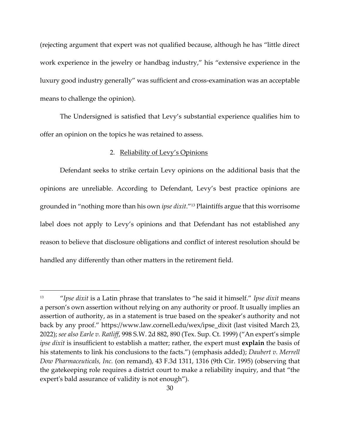(rejecting argument that expert was not qualified because, although he has "little direct work experience in the jewelry or handbag industry," his "extensive experience in the luxury good industry generally" was sufficient and cross-examination was an acceptable means to challenge the opinion).

The Undersigned is satisfied that Levy's substantial experience qualifies him to offer an opinion on the topics he was retained to assess.

## 2. Reliability of Levy's Opinions

Defendant seeks to strike certain Levy opinions on the additional basis that the opinions are unreliable. According to Defendant, Levy's best practice opinions are grounded in "nothing more than his own *ipse dixit*."<sup>13</sup> Plaintiffs argue that this worrisome label does not apply to Levy's opinions and that Defendant has not established any reason to believe that disclosure obligations and conflict of interest resolution should be handled any differently than other matters in the retirement field.

<sup>13</sup> "*Ipse dixit* is a Latin phrase that translates to "he said it himself." *Ipse dixit* means a person's own assertion without relying on any authority or proof. It usually implies an assertion of authority, as in a statement is true based on the speaker's authority and not back by any proof." https://www.law.cornell.edu/wex/ipse\_dixit (last visited March 23, 2022); *see also Earle v. Ratliff*, 998 S.W. 2d 882, 890 (Tex. Sup. Ct. 1999) ("An expert's simple *ipse dixit* is insufficient to establish a matter; rather, the expert must **explain** the basis of his statements to link his conclusions to the facts.") (emphasis added); *Daubert v. Merrell Dow Pharmaceuticals, Inc.* (on remand), 43 F.3d 1311, 1316 (9th Cir. 1995) (observing that the gatekeeping role requires a district court to make a reliability inquiry, and that "the expert's bald assurance of validity is not enough").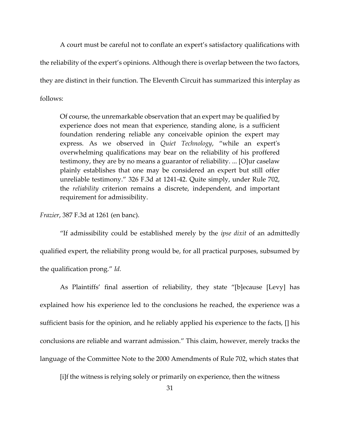A court must be careful not to conflate an expert's satisfactory qualifications with the reliability of the expert's opinions. Although there is overlap between the two factors, they are distinct in their function. The Eleventh Circuit has summarized this interplay as follows:

Of course, the unremarkable observation that an expert may be qualified by experience does not mean that experience, standing alone, is a sufficient foundation rendering reliable any conceivable opinion the expert may express. As we observed in *Quiet Technology*, "while an expert's overwhelming qualifications may bear on the reliability of his proffered testimony, they are by no means a guarantor of reliability. ... [O]ur caselaw plainly establishes that one may be considered an expert but still offer unreliable testimony." 326 F.3d at 1241-42. Quite simply, under Rule 702, the *reliability* criterion remains a discrete, independent, and important requirement for admissibility.

*Frazier*, 387 F.3d at 1261 (en banc).

"If admissibility could be established merely by the *ipse dixit* of an admittedly qualified expert, the reliability prong would be, for all practical purposes, subsumed by the qualification prong." *Id.* 

As Plaintiffs' final assertion of reliability, they state "[b]ecause [Levy] has explained how his experience led to the conclusions he reached, the experience was a sufficient basis for the opinion, and he reliably applied his experience to the facts, [] his conclusions are reliable and warrant admission." This claim, however, merely tracks the language of the Committee Note to the 2000 Amendments of Rule 702, which states that

[i]f the witness is relying solely or primarily on experience, then the witness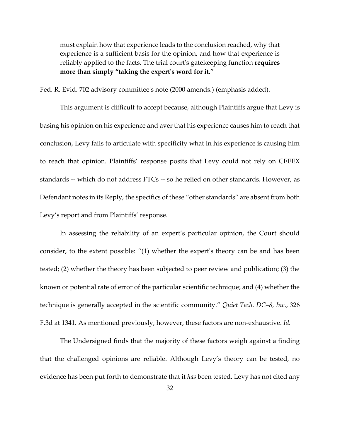must explain how that experience leads to the conclusion reached, why that experience is a sufficient basis for the opinion, and how that experience is reliably applied to the facts. The trial court's gatekeeping function **requires more than simply "taking the expert's word for it.**"

Fed. R. Evid. 702 advisory committee's note (2000 amends.) (emphasis added).

This argument is difficult to accept because, although Plaintiffs argue that Levy is basing his opinion on his experience and aver that his experience causes him to reach that conclusion, Levy fails to articulate with specificity what in his experience is causing him to reach that opinion. Plaintiffs' response posits that Levy could not rely on CEFEX standards -- which do not address FTCs -- so he relied on other standards. However, as Defendant notes in its Reply, the specifics of these "other standards" are absent from both Levy's report and from Plaintiffs' response.

In assessing the reliability of an expert's particular opinion, the Court should consider, to the extent possible: "(1) whether the expert's theory can be and has been tested; (2) whether the theory has been subjected to peer review and publication; (3) the known or potential rate of error of the particular scientific technique; and (4) whether the technique is generally accepted in the scientific community." *Quiet Tech. DC–8, Inc.*, 326 F.3d at 1341. As mentioned previously, however, these factors are non-exhaustive. *Id.*

The Undersigned finds that the majority of these factors weigh against a finding that the challenged opinions are reliable. Although Levy's theory can be tested, no evidence has been put forth to demonstrate that it *has* been tested. Levy has not cited any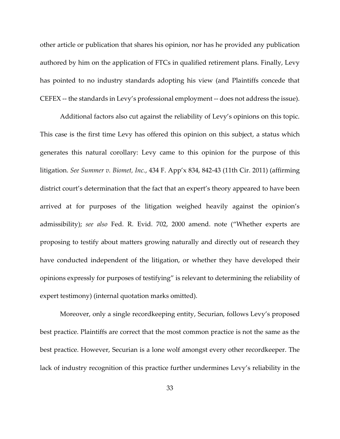other article or publication that shares his opinion, nor has he provided any publication authored by him on the application of FTCs in qualified retirement plans. Finally, Levy has pointed to no industry standards adopting his view (and Plaintiffs concede that CEFEX -- the standards in Levy's professional employment -- does not address the issue).

Additional factors also cut against the reliability of Levy's opinions on this topic. This case is the first time Levy has offered this opinion on this subject, a status which generates this natural corollary: Levy came to this opinion for the purpose of this litigation. *See Summer v. Biomet, Inc.*, 434 F. App'x 834, 842-43 (11th Cir. 2011) (affirming district court's determination that the fact that an expert's theory appeared to have been arrived at for purposes of the litigation weighed heavily against the opinion's admissibility); *see also* Fed. R. Evid. 702, 2000 amend. note ("Whether experts are proposing to testify about matters growing naturally and directly out of research they have conducted independent of the litigation, or whether they have developed their opinions expressly for purposes of testifying" is relevant to determining the reliability of expert testimony) (internal quotation marks omitted).

Moreover, only a single recordkeeping entity, Securian, follows Levy's proposed best practice. Plaintiffs are correct that the most common practice is not the same as the best practice. However, Securian is a lone wolf amongst every other recordkeeper. The lack of industry recognition of this practice further undermines Levy's reliability in the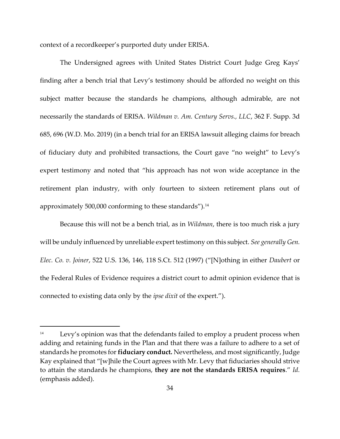context of a recordkeeper's purported duty under ERISA.

The Undersigned agrees with United States District Court Judge Greg Kays' finding after a bench trial that Levy's testimony should be afforded no weight on this subject matter because the standards he champions, although admirable, are not necessarily the standards of ERISA. *Wildman v. Am. Century Servs., LLC*, 362 F. Supp. 3d 685, 696 (W.D. Mo. 2019) (in a bench trial for an ERISA lawsuit alleging claims for breach of fiduciary duty and prohibited transactions, the Court gave "no weight" to Levy's expert testimony and noted that "his approach has not won wide acceptance in the retirement plan industry, with only fourteen to sixteen retirement plans out of approximately 500,000 conforming to these standards").<sup>14</sup>

Because this will not be a bench trial, as in *Wildman*, there is too much risk a jury will be unduly influenced by unreliable expert testimony on this subject. *See generally Gen. Elec. Co. v. Joiner*, 522 U.S. 136, 146, 118 S.Ct. 512 (1997) ("[N]othing in either *Daubert* or the Federal Rules of Evidence requires a district court to admit opinion evidence that is connected to existing data only by the *ipse dixit* of the expert.").

<sup>&</sup>lt;sup>14</sup> Levy's opinion was that the defendants failed to employ a prudent process when adding and retaining funds in the Plan and that there was a failure to adhere to a set of standards he promotes for **fiduciary conduct.** Nevertheless, and most significantly, Judge Kay explained that "[w]hile the Court agrees with Mr. Levy that fiduciaries should strive to attain the standards he champions, **they are not the standards ERISA requires**." *Id.* (emphasis added).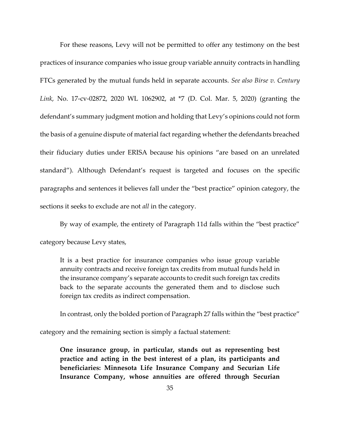For these reasons, Levy will not be permitted to offer any testimony on the best practices of insurance companies who issue group variable annuity contracts in handling FTCs generated by the mutual funds held in separate accounts. *See also Birse v. Century Link*, No. 17-cv-02872, 2020 WL 1062902, at \*7 (D. Col. Mar. 5, 2020) (granting the defendant's summary judgment motion and holding that Levy's opinions could not form the basis of a genuine dispute of material fact regarding whether the defendants breached their fiduciary duties under ERISA because his opinions "are based on an unrelated standard"). Although Defendant's request is targeted and focuses on the specific paragraphs and sentences it believes fall under the "best practice" opinion category, the sections it seeks to exclude are not *all* in the category.

By way of example, the entirety of Paragraph 11d falls within the "best practice" category because Levy states,

It is a best practice for insurance companies who issue group variable annuity contracts and receive foreign tax credits from mutual funds held in the insurance company's separate accounts to credit such foreign tax credits back to the separate accounts the generated them and to disclose such foreign tax credits as indirect compensation.

In contrast, only the bolded portion of Paragraph 27 falls within the "best practice"

category and the remaining section is simply a factual statement:

**One insurance group, in particular, stands out as representing best practice and acting in the best interest of a plan, its participants and beneficiaries: Minnesota Life Insurance Company and Securian Life Insurance Company, whose annuities are offered through Securian**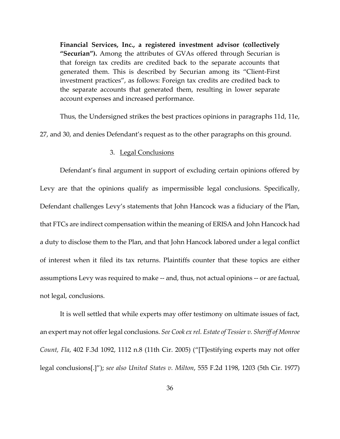**Financial Services, Inc., a registered investment advisor (collectively "Securian").** Among the attributes of GVAs offered through Securian is that foreign tax credits are credited back to the separate accounts that generated them. This is described by Securian among its "Client-First investment practices", as follows: Foreign tax credits are credited back to the separate accounts that generated them, resulting in lower separate account expenses and increased performance.

Thus, the Undersigned strikes the best practices opinions in paragraphs 11d, 11e,

27, and 30, and denies Defendant's request as to the other paragraphs on this ground.

## 3. Legal Conclusions

Defendant's final argument in support of excluding certain opinions offered by Levy are that the opinions qualify as impermissible legal conclusions. Specifically, Defendant challenges Levy's statements that John Hancock was a fiduciary of the Plan, that FTCs are indirect compensation within the meaning of ERISA and John Hancock had a duty to disclose them to the Plan, and that John Hancock labored under a legal conflict of interest when it filed its tax returns. Plaintiffs counter that these topics are either assumptions Levy was required to make -- and, thus, not actual opinions -- or are factual, not legal, conclusions.

It is well settled that while experts may offer testimony on ultimate issues of fact, an expert may not offer legal conclusions. *See Cook ex rel. Estate of Tessier v. Sheriff of Monroe Count, Fla*, 402 F.3d 1092, 1112 n.8 (11th Cir. 2005) ("[T]estifying experts may not offer legal conclusions[.]"); *see also United States v. Milton*, 555 F.2d 1198, 1203 (5th Cir. 1977)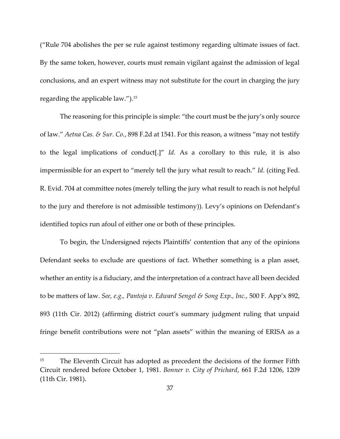("Rule 704 abolishes the per se rule against testimony regarding ultimate issues of fact. By the same token, however, courts must remain vigilant against the admission of legal conclusions, and an expert witness may not substitute for the court in charging the jury regarding the applicable law."). 15

The reasoning for this principle is simple: "the court must be the jury's only source of law." *Aetna Cas. & Sur. Co.*, 898 F.2d at 1541. For this reason, a witness "may not testify to the legal implications of conduct[.]" *Id.* As a corollary to this rule, it is also impermissible for an expert to "merely tell the jury what result to reach." *Id.* (citing Fed. R. Evid. 704 at committee notes (merely telling the jury what result to reach is not helpful to the jury and therefore is not admissible testimony)). Levy's opinions on Defendant's identified topics run afoul of either one or both of these principles.

To begin, the Undersigned rejects Plaintiffs' contention that any of the opinions Defendant seeks to exclude are questions of fact. Whether something is a plan asset, whether an entity is a fiduciary, and the interpretation of a contract have all been decided to be matters of law. *See, e.g., Pantoja v. Edward Sengel & Song Exp., Inc.*, 500 F. App'x 892, 893 (11th Cir. 2012) (affirming district court's summary judgment ruling that unpaid fringe benefit contributions were not "plan assets" within the meaning of ERISA as a

<sup>&</sup>lt;sup>15</sup> The Eleventh Circuit has adopted as precedent the decisions of the former Fifth Circuit rendered before October 1, 1981. *Bonner v. City of Prichard*, 661 F.2d 1206, 1209 (11th Cir. 1981).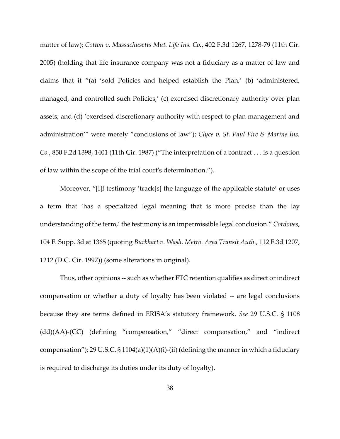matter of law); *Cotton v. Massachusetts Mut. Life Ins. Co.*, 402 F.3d 1267, 1278-79 (11th Cir. 2005) (holding that life insurance company was not a fiduciary as a matter of law and claims that it "(a) 'sold Policies and helped establish the Plan,' (b) 'administered, managed, and controlled such Policies,' (c) exercised discretionary authority over plan assets, and (d) 'exercised discretionary authority with respect to plan management and administration'" were merely "conclusions of law"); *Clyce v. St. Paul Fire & Marine Ins. Co.*, 850 F.2d 1398, 1401 (11th Cir. 1987) ("The interpretation of a contract . . . is a question of law within the scope of the trial court's determination.").

Moreover, "[i]f testimony 'track[s] the language of the applicable statute' or uses a term that 'has a specialized legal meaning that is more precise than the lay understanding of the term,' the testimony is an impermissible legal conclusion." *Cordoves*, 104 F. Supp. 3d at 1365 (quoting *Burkhart v. Wash. Metro. Area Transit Auth.*, 112 F.3d 1207, 1212 (D.C. Cir. 1997)) (some alterations in original).

Thus, other opinions -- such as whether FTC retention qualifies as direct or indirect compensation or whether a duty of loyalty has been violated -- are legal conclusions because they are terms defined in ERISA's statutory framework. *See* 29 U.S.C. § 1108 (dd)(AA)-(CC) (defining "compensation," "direct compensation," and "indirect compensation"); 29 U.S.C.  $\S 1104(a)(1)(A)(i)$ -(ii) (defining the manner in which a fiduciary is required to discharge its duties under its duty of loyalty).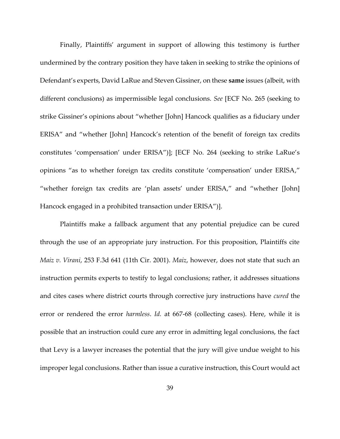Finally, Plaintiffs' argument in support of allowing this testimony is further undermined by the contrary position they have taken in seeking to strike the opinions of Defendant's experts, David LaRue and Steven Gissiner, on these **same** issues (albeit, with different conclusions) as impermissible legal conclusions. *See* [ECF No. 265 (seeking to strike Gissiner's opinions about "whether [John] Hancock qualifies as a fiduciary under ERISA" and "whether [John] Hancock's retention of the benefit of foreign tax credits constitutes 'compensation' under ERISA")]; [ECF No. 264 (seeking to strike LaRue's opinions "as to whether foreign tax credits constitute 'compensation' under ERISA," "whether foreign tax credits are 'plan assets' under ERISA," and "whether [John] Hancock engaged in a prohibited transaction under ERISA")].

Plaintiffs make a fallback argument that any potential prejudice can be cured through the use of an appropriate jury instruction. For this proposition, Plaintiffs cite *Maiz v. Virani*, 253 F.3d 641 (11th Cir. 2001). *Maiz*, however, does not state that such an instruction permits experts to testify to legal conclusions; rather, it addresses situations and cites cases where district courts through corrective jury instructions have *cured* the error or rendered the error *harmless*. *Id.* at 667-68 (collecting cases). Here, while it is possible that an instruction could cure any error in admitting legal conclusions, the fact that Levy is a lawyer increases the potential that the jury will give undue weight to his improper legal conclusions. Rather than issue a curative instruction, this Court would act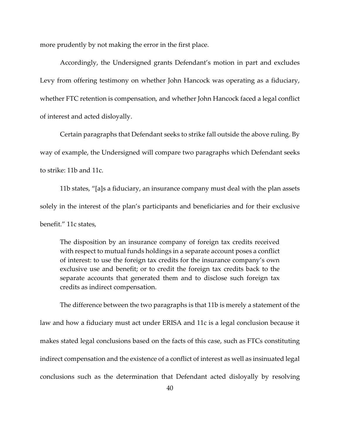more prudently by not making the error in the first place.

Accordingly, the Undersigned grants Defendant's motion in part and excludes Levy from offering testimony on whether John Hancock was operating as a fiduciary, whether FTC retention is compensation, and whether John Hancock faced a legal conflict of interest and acted disloyally.

Certain paragraphs that Defendant seeks to strike fall outside the above ruling. By way of example, the Undersigned will compare two paragraphs which Defendant seeks to strike: 11b and 11c.

11b states, "[a]s a fiduciary, an insurance company must deal with the plan assets solely in the interest of the plan's participants and beneficiaries and for their exclusive benefit." 11c states,

The disposition by an insurance company of foreign tax credits received with respect to mutual funds holdings in a separate account poses a conflict of interest: to use the foreign tax credits for the insurance company's own exclusive use and benefit; or to credit the foreign tax credits back to the separate accounts that generated them and to disclose such foreign tax credits as indirect compensation.

The difference between the two paragraphs is that 11b is merely a statement of the law and how a fiduciary must act under ERISA and 11c is a legal conclusion because it makes stated legal conclusions based on the facts of this case, such as FTCs constituting indirect compensation and the existence of a conflict of interest as well as insinuated legal conclusions such as the determination that Defendant acted disloyally by resolving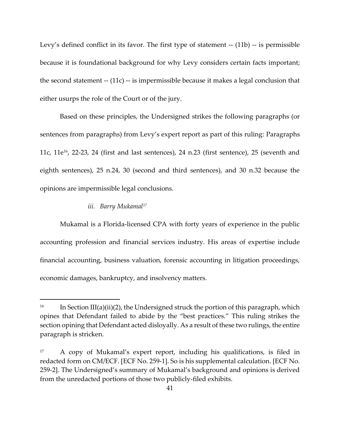Levy's defined conflict in its favor. The first type of statement -- (11b) -- is permissible because it is foundational background for why Levy considers certain facts important; the second statement -- (11c) -- is impermissible because it makes a legal conclusion that either usurps the role of the Court or of the jury.

Based on these principles, the Undersigned strikes the following paragraphs (or sentences from paragraphs) from Levy's expert report as part of this ruling: Paragraphs 11c,  $11e^{16}$ , 22-23, 24 (first and last sentences), 24 n.23 (first sentence), 25 (seventh and eighth sentences), 25 n.24, 30 (second and third sentences), and 30 n.32 because the opinions are impermissible legal conclusions.

#### *iii. Barry Mukamal<sup>17</sup>*

Mukamal is a Florida-licensed CPA with forty years of experience in the public accounting profession and financial services industry. His areas of expertise include financial accounting, business valuation, forensic accounting in litigation proceedings, economic damages, bankruptcy, and insolvency matters.

<sup>&</sup>lt;sup>16</sup> In Section III(a)(ii)(2), the Undersigned struck the portion of this paragraph, which opines that Defendant failed to abide by the "best practices." This ruling strikes the section opining that Defendant acted disloyally. As a result of these two rulings, the entire paragraph is stricken.

<sup>17</sup> A copy of Mukamal's expert report, including his qualifications, is filed in redacted form on CM/ECF. [ECF No. 259-1]. So is his supplemental calculation. [ECF No. 259-2]. The Undersigned's summary of Mukamal's background and opinions is derived from the unredacted portions of those two publicly-filed exhibits.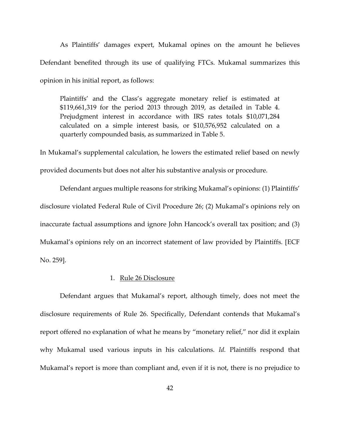As Plaintiffs' damages expert, Mukamal opines on the amount he believes Defendant benefited through its use of qualifying FTCs. Mukamal summarizes this opinion in his initial report, as follows:

Plaintiffs' and the Class's aggregate monetary relief is estimated at \$119,661,319 for the period 2013 through 2019, as detailed in Table 4. Prejudgment interest in accordance with IRS rates totals \$10,071,284 calculated on a simple interest basis, or \$10,576,952 calculated on a quarterly compounded basis, as summarized in Table 5.

In Mukamal's supplemental calculation, he lowers the estimated relief based on newly provided documents but does not alter his substantive analysis or procedure.

Defendant argues multiple reasons for striking Mukamal's opinions: (1) Plaintiffs' disclosure violated Federal Rule of Civil Procedure 26; (2) Mukamal's opinions rely on inaccurate factual assumptions and ignore John Hancock's overall tax position; and (3) Mukamal's opinions rely on an incorrect statement of law provided by Plaintiffs. [ECF No. 259].

## 1. Rule 26 Disclosure

Defendant argues that Mukamal's report, although timely, does not meet the disclosure requirements of Rule 26. Specifically, Defendant contends that Mukamal's report offered no explanation of what he means by "monetary relief," nor did it explain why Mukamal used various inputs in his calculations. *Id.* Plaintiffs respond that Mukamal's report is more than compliant and, even if it is not, there is no prejudice to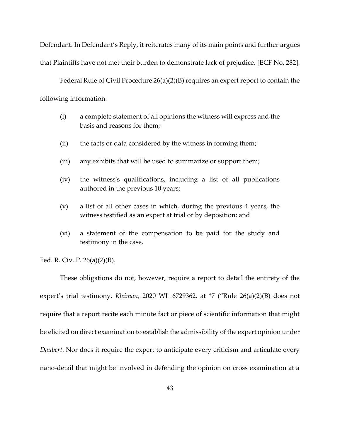Defendant. In Defendant's Reply, it reiterates many of its main points and further argues that Plaintiffs have not met their burden to demonstrate lack of prejudice. [ECF No. 282].

Federal Rule of Civil Procedure 26(a)(2)(B) requires an expert report to contain the following information:

- (i) a complete statement of all opinions the witness will express and the basis and reasons for them;
- (ii) the facts or data considered by the witness in forming them;
- (iii) any exhibits that will be used to summarize or support them;
- (iv) the witness's qualifications, including a list of all publications authored in the previous 10 years;
- (v) a list of all other cases in which, during the previous 4 years, the witness testified as an expert at trial or by deposition; and
- (vi) a statement of the compensation to be paid for the study and testimony in the case.

Fed. R. Civ. P. 26(a)(2)(B).

These obligations do not, however, require a report to detail the entirety of the expert's trial testimony. *Kleiman*, 2020 WL 6729362, at \*7 ("Rule 26(a)(2)(B) does not require that a report recite each minute fact or piece of scientific information that might be elicited on direct examination to establish the admissibility of the expert opinion under *Daubert*. Nor does it require the expert to anticipate every criticism and articulate every nano-detail that might be involved in defending the opinion on cross examination at a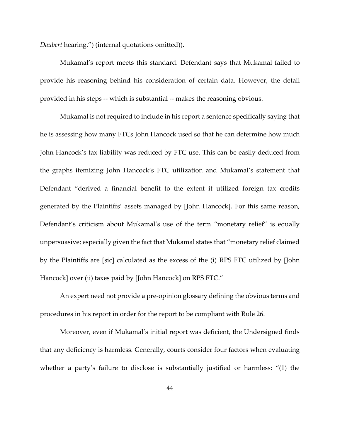*Daubert* hearing.") (internal quotations omitted)).

Mukamal's report meets this standard. Defendant says that Mukamal failed to provide his reasoning behind his consideration of certain data. However, the detail provided in his steps -- which is substantial -- makes the reasoning obvious.

Mukamal is not required to include in his report a sentence specifically saying that he is assessing how many FTCs John Hancock used so that he can determine how much John Hancock's tax liability was reduced by FTC use. This can be easily deduced from the graphs itemizing John Hancock's FTC utilization and Mukamal's statement that Defendant "derived a financial benefit to the extent it utilized foreign tax credits generated by the Plaintiffs' assets managed by [John Hancock]. For this same reason, Defendant's criticism about Mukamal's use of the term "monetary relief" is equally unpersuasive; especially given the fact that Mukamal states that "monetary relief claimed by the Plaintiffs are [sic] calculated as the excess of the (i) RPS FTC utilized by [John Hancock] over (ii) taxes paid by [John Hancock] on RPS FTC."

An expert need not provide a pre-opinion glossary defining the obvious terms and procedures in his report in order for the report to be compliant with Rule 26.

Moreover, even if Mukamal's initial report was deficient, the Undersigned finds that any deficiency is harmless. Generally, courts consider four factors when evaluating whether a party's failure to disclose is substantially justified or harmless: "(1) the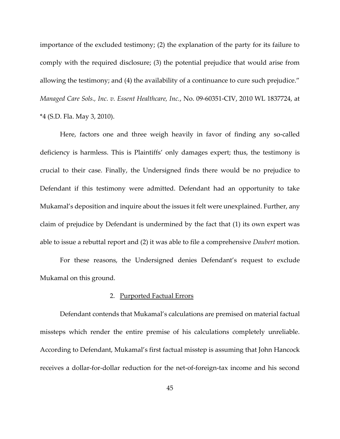importance of the excluded testimony; (2) the explanation of the party for its failure to comply with the required disclosure; (3) the potential prejudice that would arise from allowing the testimony; and (4) the availability of a continuance to cure such prejudice." *Managed Care Sols., Inc. v. Essent Healthcare, Inc.*, No. 09-60351-CIV, 2010 WL 1837724, at \*4 (S.D. Fla. May 3, 2010).

Here, factors one and three weigh heavily in favor of finding any so-called deficiency is harmless. This is Plaintiffs' only damages expert; thus, the testimony is crucial to their case. Finally, the Undersigned finds there would be no prejudice to Defendant if this testimony were admitted. Defendant had an opportunity to take Mukamal's deposition and inquire about the issues it felt were unexplained. Further, any claim of prejudice by Defendant is undermined by the fact that (1) its own expert was able to issue a rebuttal report and (2) it was able to file a comprehensive *Daubert* motion.

For these reasons, the Undersigned denies Defendant's request to exclude Mukamal on this ground.

# 2. Purported Factual Errors

Defendant contends that Mukamal's calculations are premised on material factual missteps which render the entire premise of his calculations completely unreliable. According to Defendant, Mukamal's first factual misstep is assuming that John Hancock receives a dollar-for-dollar reduction for the net-of-foreign-tax income and his second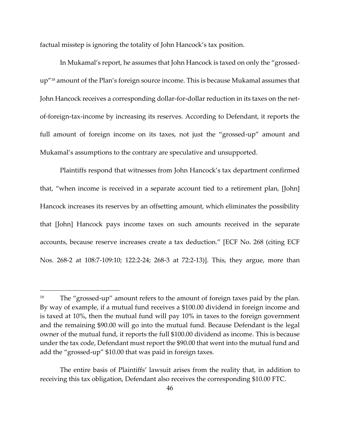factual misstep is ignoring the totality of John Hancock's tax position.

In Mukamal's report, he assumes that John Hancock is taxed on only the "grossedup"<sup>18</sup> amount of the Plan's foreign source income. This is because Mukamal assumes that John Hancock receives a corresponding dollar-for-dollar reduction in its taxes on the netof-foreign-tax-income by increasing its reserves. According to Defendant, it reports the full amount of foreign income on its taxes, not just the "grossed-up" amount and Mukamal's assumptions to the contrary are speculative and unsupported.

Plaintiffs respond that witnesses from John Hancock's tax department confirmed that, "when income is received in a separate account tied to a retirement plan, [John] Hancock increases its reserves by an offsetting amount, which eliminates the possibility that [John] Hancock pays income taxes on such amounts received in the separate accounts, because reserve increases create a tax deduction." [ECF No. 268 (citing ECF Nos. 268-2 at 108:7-109:10; 122:2-24; 268-3 at 72:2-13)]. This, they argue, more than

<sup>&</sup>lt;sup>18</sup> The "grossed-up" amount refers to the amount of foreign taxes paid by the plan. By way of example, if a mutual fund receives a \$100.00 dividend in foreign income and is taxed at 10%, then the mutual fund will pay 10% in taxes to the foreign government and the remaining \$90.00 will go into the mutual fund. Because Defendant is the legal owner of the mutual fund, it reports the full \$100.00 dividend as income. This is because under the tax code, Defendant must report the \$90.00 that went into the mutual fund and add the "grossed-up" \$10.00 that was paid in foreign taxes.

The entire basis of Plaintiffs' lawsuit arises from the reality that, in addition to receiving this tax obligation, Defendant also receives the corresponding \$10.00 FTC.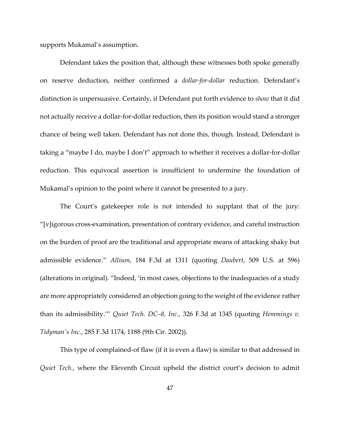supports Mukamal's assumption.

Defendant takes the position that, although these witnesses both spoke generally on reserve deduction, neither confirmed a *dollar-for-dollar* reduction. Defendant's distinction is unpersuasive. Certainly, if Defendant put forth evidence to *show* that it did not actually receive a dollar-for-dollar reduction, then its position would stand a stronger chance of being well taken. Defendant has not done this, though. Instead, Defendant is taking a "maybe I do, maybe I don't" approach to whether it receives a dollar-for-dollar reduction. This equivocal assertion is insufficient to undermine the foundation of Mukamal's opinion to the point where it cannot be presented to a jury.

The Court's gatekeeper role is not intended to supplant that of the jury: "[v]igorous cross-examination, presentation of contrary evidence, and careful instruction on the burden of proof are the traditional and appropriate means of attacking shaky but admissible evidence." *Allison*, 184 F.3d at 1311 (quoting *Daubert*, 509 U.S. at 596) (alterations in original). "Indeed, 'in most cases, objections to the inadequacies of a study are more appropriately considered an objection going to the weight of the evidence rather than its admissibility.'" *Quiet Tech. DC–8, Inc.*, 326 F.3d at 1345 (quoting *Hemmings v. Tidyman's Inc.*, 285 F.3d 1174, 1188 (9th Cir. 2002)).

This type of complained-of flaw (if it is even a flaw) is similar to that addressed in *Quiet Tech.*, where the Eleventh Circuit upheld the district court's decision to admit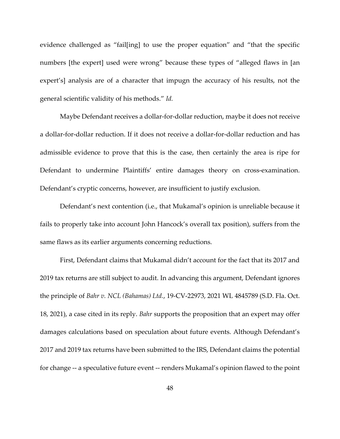evidence challenged as "fail[ing] to use the proper equation" and "that the specific numbers [the expert] used were wrong" because these types of "alleged flaws in [an expert's] analysis are of a character that impugn the accuracy of his results, not the general scientific validity of his methods." *Id.*

Maybe Defendant receives a dollar-for-dollar reduction, maybe it does not receive a dollar-for-dollar reduction. If it does not receive a dollar-for-dollar reduction and has admissible evidence to prove that this is the case, then certainly the area is ripe for Defendant to undermine Plaintiffs' entire damages theory on cross-examination. Defendant's cryptic concerns, however, are insufficient to justify exclusion.

Defendant's next contention (i.e., that Mukamal's opinion is unreliable because it fails to properly take into account John Hancock's overall tax position), suffers from the same flaws as its earlier arguments concerning reductions.

First, Defendant claims that Mukamal didn't account for the fact that its 2017 and 2019 tax returns are still subject to audit. In advancing this argument, Defendant ignores the principle of *Bahr v. NCL (Bahamas) Ltd.*, 19-CV-22973, 2021 WL 4845789 (S.D. Fla. Oct. 18, 2021), a case cited in its reply. *Bahr* supports the proposition that an expert may offer damages calculations based on speculation about future events. Although Defendant's 2017 and 2019 tax returns have been submitted to the IRS, Defendant claims the potential for change -- a speculative future event -- renders Mukamal's opinion flawed to the point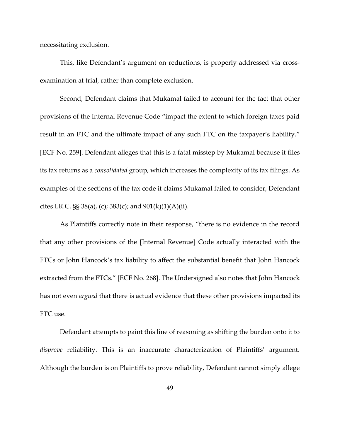necessitating exclusion.

This, like Defendant's argument on reductions, is properly addressed via crossexamination at trial, rather than complete exclusion.

Second, Defendant claims that Mukamal failed to account for the fact that other provisions of the Internal Revenue Code "impact the extent to which foreign taxes paid result in an FTC and the ultimate impact of any such FTC on the taxpayer's liability." [ECF No. 259]. Defendant alleges that this is a fatal misstep by Mukamal because it files its tax returns as a *consolidated* group, which increases the complexity of its tax filings. As examples of the sections of the tax code it claims Mukamal failed to consider, Defendant cites I.R.C.  $\S$  38(a), (c); 383(c); and 901(k)(1)(A)(ii).

As Plaintiffs correctly note in their response, "there is no evidence in the record that any other provisions of the [Internal Revenue] Code actually interacted with the FTCs or John Hancock's tax liability to affect the substantial benefit that John Hancock extracted from the FTCs." [ECF No. 268]. The Undersigned also notes that John Hancock has not even *argued* that there is actual evidence that these other provisions impacted its FTC use.

Defendant attempts to paint this line of reasoning as shifting the burden onto it to *disprove* reliability. This is an inaccurate characterization of Plaintiffs' argument. Although the burden is on Plaintiffs to prove reliability, Defendant cannot simply allege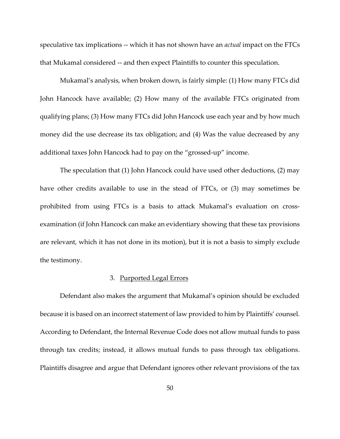speculative tax implications -- which it has not shown have an *actual* impact on the FTCs that Mukamal considered -- and then expect Plaintiffs to counter this speculation.

Mukamal's analysis, when broken down, is fairly simple: (1) How many FTCs did John Hancock have available; (2) How many of the available FTCs originated from qualifying plans; (3) How many FTCs did John Hancock use each year and by how much money did the use decrease its tax obligation; and (4) Was the value decreased by any additional taxes John Hancock had to pay on the "grossed-up" income.

The speculation that (1) John Hancock could have used other deductions, (2) may have other credits available to use in the stead of FTCs, or (3) may sometimes be prohibited from using FTCs is a basis to attack Mukamal's evaluation on crossexamination (if John Hancock can make an evidentiary showing that these tax provisions are relevant, which it has not done in its motion), but it is not a basis to simply exclude the testimony.

## 3. Purported Legal Errors

Defendant also makes the argument that Mukamal's opinion should be excluded because it is based on an incorrect statement of law provided to him by Plaintiffs' counsel. According to Defendant, the Internal Revenue Code does not allow mutual funds to pass through tax credits; instead, it allows mutual funds to pass through tax obligations. Plaintiffs disagree and argue that Defendant ignores other relevant provisions of the tax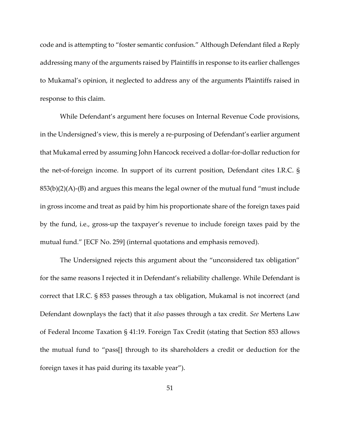code and is attempting to "foster semantic confusion." Although Defendant filed a Reply addressing many of the arguments raised by Plaintiffs in response to its earlier challenges to Mukamal's opinion, it neglected to address any of the arguments Plaintiffs raised in response to this claim.

While Defendant's argument here focuses on Internal Revenue Code provisions, in the Undersigned's view, this is merely a re-purposing of Defendant's earlier argument that Mukamal erred by assuming John Hancock received a dollar-for-dollar reduction for the net-of-foreign income. In support of its current position, Defendant cites I.R.C. §  $853(b)(2)(A)$ -(B) and argues this means the legal owner of the mutual fund "must include in gross income and treat as paid by him his proportionate share of the foreign taxes paid by the fund, i.e., gross-up the taxpayer's revenue to include foreign taxes paid by the mutual fund." [ECF No. 259] (internal quotations and emphasis removed).

The Undersigned rejects this argument about the "unconsidered tax obligation" for the same reasons I rejected it in Defendant's reliability challenge. While Defendant is correct that I.R.C. § 853 passes through a tax obligation, Mukamal is not incorrect (and Defendant downplays the fact) that it *also* passes through a tax credit. *See* Mertens Law of Federal Income Taxation § 41:19. Foreign Tax Credit (stating that Section 853 allows the mutual fund to "pass[] through to its shareholders a credit or deduction for the foreign taxes it has paid during its taxable year").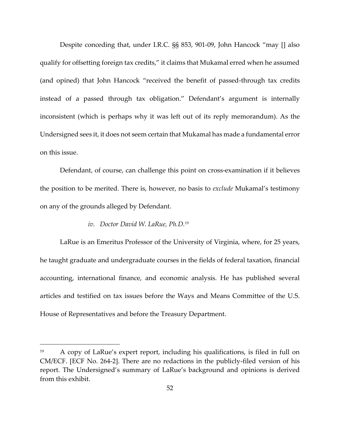Despite conceding that, under I.R.C. §§ 853, 901-09, John Hancock "may [] also qualify for offsetting foreign tax credits," it claims that Mukamal erred when he assumed (and opined) that John Hancock "received the benefit of passed-through tax credits instead of a passed through tax obligation." Defendant's argument is internally inconsistent (which is perhaps why it was left out of its reply memorandum). As the Undersigned sees it, it does not seem certain that Mukamal has made a fundamental error on this issue.

Defendant, of course, can challenge this point on cross-examination if it believes the position to be merited. There is, however, no basis to *exclude* Mukamal's testimony on any of the grounds alleged by Defendant.

### *iv. Doctor David W. LaRue, Ph.D.<sup>19</sup>*

LaRue is an Emeritus Professor of the University of Virginia, where, for 25 years, he taught graduate and undergraduate courses in the fields of federal taxation, financial accounting, international finance, and economic analysis. He has published several articles and testified on tax issues before the Ways and Means Committee of the U.S. House of Representatives and before the Treasury Department.

<sup>19</sup> A copy of LaRue's expert report, including his qualifications, is filed in full on CM/ECF. [ECF No. 264-2]. There are no redactions in the publicly-filed version of his report. The Undersigned's summary of LaRue's background and opinions is derived from this exhibit.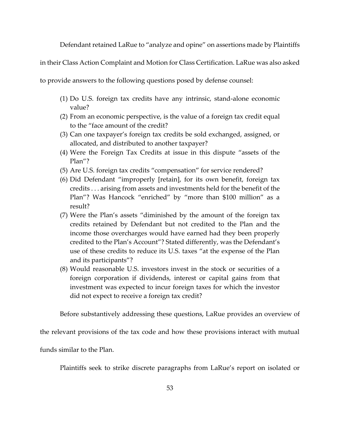Defendant retained LaRue to "analyze and opine" on assertions made by Plaintiffs

in their Class Action Complaint and Motion for Class Certification. LaRue was also asked

to provide answers to the following questions posed by defense counsel:

- (1) Do U.S. foreign tax credits have any intrinsic, stand-alone economic value?
- (2) From an economic perspective, is the value of a foreign tax credit equal to the "face amount of the credit?
- (3) Can one taxpayer's foreign tax credits be sold exchanged, assigned, or allocated, and distributed to another taxpayer?
- (4) Were the Foreign Tax Credits at issue in this dispute "assets of the Plan"?
- (5) Are U.S. foreign tax credits "compensation" for service rendered?
- (6) Did Defendant "improperly [retain], for its own benefit, foreign tax credits . . . arising from assets and investments held for the benefit of the Plan"? Was Hancock "enriched" by "more than \$100 million" as a result?
- (7) Were the Plan's assets "diminished by the amount of the foreign tax credits retained by Defendant but not credited to the Plan and the income those overcharges would have earned had they been properly credited to the Plan's Account"? Stated differently, was the Defendant's use of these credits to reduce its U.S. taxes "at the expense of the Plan and its participants"?
- (8) Would reasonable U.S. investors invest in the stock or securities of a foreign corporation if dividends, interest or capital gains from that investment was expected to incur foreign taxes for which the investor did not expect to receive a foreign tax credit?

Before substantively addressing these questions, LaRue provides an overview of

the relevant provisions of the tax code and how these provisions interact with mutual

funds similar to the Plan.

Plaintiffs seek to strike discrete paragraphs from LaRue's report on isolated or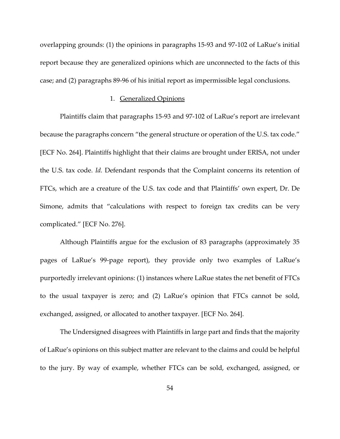overlapping grounds: (1) the opinions in paragraphs 15-93 and 97-102 of LaRue's initial report because they are generalized opinions which are unconnected to the facts of this case; and (2) paragraphs 89-96 of his initial report as impermissible legal conclusions.

#### 1. Generalized Opinions

Plaintiffs claim that paragraphs 15-93 and 97-102 of LaRue's report are irrelevant because the paragraphs concern "the general structure or operation of the U.S. tax code." [ECF No. 264]. Plaintiffs highlight that their claims are brought under ERISA, not under the U.S. tax code. *Id.* Defendant responds that the Complaint concerns its retention of FTCs, which are a creature of the U.S. tax code and that Plaintiffs' own expert, Dr. De Simone, admits that "calculations with respect to foreign tax credits can be very complicated." [ECF No. 276].

Although Plaintiffs argue for the exclusion of 83 paragraphs (approximately 35 pages of LaRue's 99-page report), they provide only two examples of LaRue's purportedly irrelevant opinions: (1) instances where LaRue states the net benefit of FTCs to the usual taxpayer is zero; and (2) LaRue's opinion that FTCs cannot be sold, exchanged, assigned, or allocated to another taxpayer. [ECF No. 264].

The Undersigned disagrees with Plaintiffs in large part and finds that the majority of LaRue's opinions on this subject matter are relevant to the claims and could be helpful to the jury. By way of example, whether FTCs can be sold, exchanged, assigned, or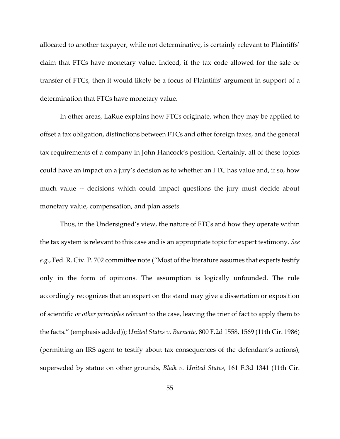allocated to another taxpayer, while not determinative, is certainly relevant to Plaintiffs' claim that FTCs have monetary value. Indeed, if the tax code allowed for the sale or transfer of FTCs, then it would likely be a focus of Plaintiffs' argument in support of a determination that FTCs have monetary value.

In other areas, LaRue explains how FTCs originate, when they may be applied to offset a tax obligation, distinctions between FTCs and other foreign taxes, and the general tax requirements of a company in John Hancock's position. Certainly, all of these topics could have an impact on a jury's decision as to whether an FTC has value and, if so, how much value -- decisions which could impact questions the jury must decide about monetary value, compensation, and plan assets.

Thus, in the Undersigned's view, the nature of FTCs and how they operate within the tax system is relevant to this case and is an appropriate topic for expert testimony. *See e.g.*, Fed. R. Civ. P. 702 committee note ("Most of the literature assumes that experts testify only in the form of opinions. The assumption is logically unfounded. The rule accordingly recognizes that an expert on the stand may give a dissertation or exposition of scientific *or other principles relevant* to the case, leaving the trier of fact to apply them to the facts." (emphasis added)); *United States v. Barnette*, 800 F.2d 1558, 1569 (11th Cir. 1986) (permitting an IRS agent to testify about tax consequences of the defendant's actions), superseded by statue on other grounds, *Blaik v. United States*, 161 F.3d 1341 (11th Cir.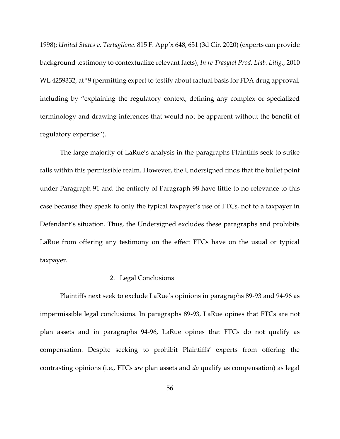1998); *United States v. Tartaglione*. 815 F. App'x 648, 651 (3d Cir. 2020) (experts can provide background testimony to contextualize relevant facts); *In re Trasylol Prod. Liab. Litig.*, 2010 WL 4259332, at \*9 (permitting expert to testify about factual basis for FDA drug approval, including by "explaining the regulatory context, defining any complex or specialized terminology and drawing inferences that would not be apparent without the benefit of regulatory expertise").

The large majority of LaRue's analysis in the paragraphs Plaintiffs seek to strike falls within this permissible realm. However, the Undersigned finds that the bullet point under Paragraph 91 and the entirety of Paragraph 98 have little to no relevance to this case because they speak to only the typical taxpayer's use of FTCs, not to a taxpayer in Defendant's situation. Thus, the Undersigned excludes these paragraphs and prohibits LaRue from offering any testimony on the effect FTCs have on the usual or typical taxpayer.

## 2. Legal Conclusions

Plaintiffs next seek to exclude LaRue's opinions in paragraphs 89-93 and 94-96 as impermissible legal conclusions. In paragraphs 89-93, LaRue opines that FTCs are not plan assets and in paragraphs 94-96, LaRue opines that FTCs do not qualify as compensation. Despite seeking to prohibit Plaintiffs' experts from offering the contrasting opinions (i.e., FTCs *are* plan assets and *do* qualify as compensation) as legal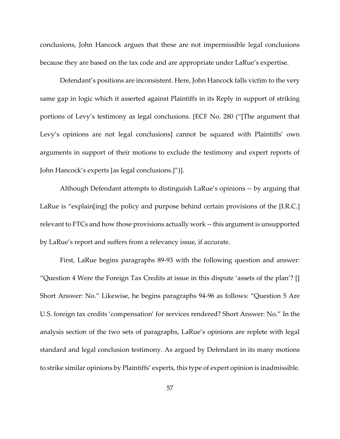conclusions, John Hancock argues that these are not impermissible legal conclusions because they are based on the tax code and are appropriate under LaRue's expertise.

Defendant's positions are inconsistent. Here, John Hancock falls victim to the very same gap in logic which it asserted against Plaintiffs in its Reply in support of striking portions of Levy's testimony as legal conclusions. [ECF No. 280 ("[The argument that Levy's opinions are not legal conclusions] cannot be squared with Plaintiffs' own arguments in support of their motions to exclude the testimony and expert reports of John Hancock's experts [as legal conclusions.]")].

Although Defendant attempts to distinguish LaRue's opinions -- by arguing that LaRue is "explain[ing] the policy and purpose behind certain provisions of the [I.R.C.] relevant to FTCs and how those provisions actually work -- this argument is unsupported by LaRue's report and suffers from a relevancy issue, if accurate.

First, LaRue begins paragraphs 89-93 with the following question and answer: "Question 4 Were the Foreign Tax Credits at issue in this dispute 'assets of the plan'? [] Short Answer: No." Likewise, he begins paragraphs 94-96 as follows: "Question 5 Are U.S. foreign tax credits 'compensation' for services rendered? Short Answer: No." In the analysis section of the two sets of paragraphs, LaRue's opinions are replete with legal standard and legal conclusion testimony. As argued by Defendant in its many motions to strike similar opinions by Plaintiffs' experts, this type of expert opinion is inadmissible.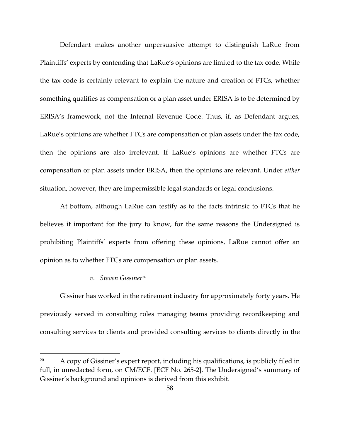Defendant makes another unpersuasive attempt to distinguish LaRue from Plaintiffs' experts by contending that LaRue's opinions are limited to the tax code. While the tax code is certainly relevant to explain the nature and creation of FTCs, whether something qualifies as compensation or a plan asset under ERISA is to be determined by ERISA's framework, not the Internal Revenue Code. Thus, if, as Defendant argues, LaRue's opinions are whether FTCs are compensation or plan assets under the tax code, then the opinions are also irrelevant. If LaRue's opinions are whether FTCs are compensation or plan assets under ERISA, then the opinions are relevant. Under *either*  situation, however, they are impermissible legal standards or legal conclusions.

At bottom, although LaRue can testify as to the facts intrinsic to FTCs that he believes it important for the jury to know, for the same reasons the Undersigned is prohibiting Plaintiffs' experts from offering these opinions, LaRue cannot offer an opinion as to whether FTCs are compensation or plan assets.

## *v. Steven Gissiner<sup>20</sup>*

Gissiner has worked in the retirement industry for approximately forty years. He previously served in consulting roles managing teams providing recordkeeping and consulting services to clients and provided consulting services to clients directly in the

A copy of Gissiner's expert report, including his qualifications, is publicly filed in full, in unredacted form, on CM/ECF. [ECF No. 265-2]. The Undersigned's summary of Gissiner's background and opinions is derived from this exhibit.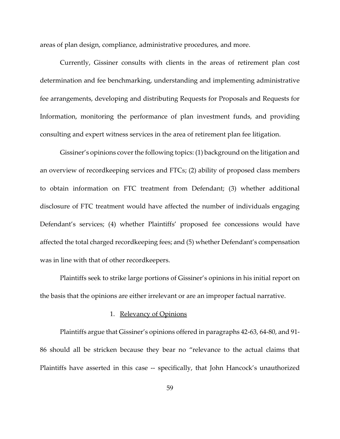areas of plan design, compliance, administrative procedures, and more.

Currently, Gissiner consults with clients in the areas of retirement plan cost determination and fee benchmarking, understanding and implementing administrative fee arrangements, developing and distributing Requests for Proposals and Requests for Information, monitoring the performance of plan investment funds, and providing consulting and expert witness services in the area of retirement plan fee litigation.

Gissiner's opinions cover the following topics: (1) background on the litigation and an overview of recordkeeping services and FTCs; (2) ability of proposed class members to obtain information on FTC treatment from Defendant; (3) whether additional disclosure of FTC treatment would have affected the number of individuals engaging Defendant's services; (4) whether Plaintiffs' proposed fee concessions would have affected the total charged recordkeeping fees; and (5) whether Defendant's compensation was in line with that of other recordkeepers.

Plaintiffs seek to strike large portions of Gissiner's opinions in his initial report on the basis that the opinions are either irrelevant or are an improper factual narrative.

## 1. Relevancy of Opinions

Plaintiffs argue that Gissiner's opinions offered in paragraphs 42-63, 64-80, and 91- 86 should all be stricken because they bear no "relevance to the actual claims that Plaintiffs have asserted in this case -- specifically, that John Hancock's unauthorized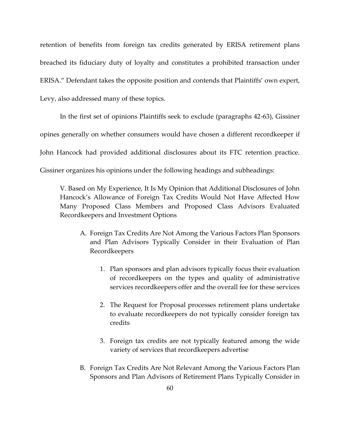retention of benefits from foreign tax credits generated by ERISA retirement plans breached its fiduciary duty of loyalty and constitutes a prohibited transaction under ERISA." Defendant takes the opposite position and contends that Plaintiffs' own expert, Levy, also addressed many of these topics.

In the first set of opinions Plaintiffs seek to exclude (paragraphs 42-63), Gissiner opines generally on whether consumers would have chosen a different recordkeeper if John Hancock had provided additional disclosures about its FTC retention practice. Gissiner organizes his opinions under the following headings and subheadings:

V. Based on My Experience, It Is My Opinion that Additional Disclosures of John Hancock's Allowance of Foreign Tax Credits Would Not Have Affected How Many Proposed Class Members and Proposed Class Advisors Evaluated Recordkeepers and Investment Options

- A. Foreign Tax Credits Are Not Among the Various Factors Plan Sponsors and Plan Advisors Typically Consider in their Evaluation of Plan Recordkeepers
	- 1. Plan sponsors and plan advisors typically focus their evaluation of recordkeepers on the types and quality of administrative services recordkeepers offer and the overall fee for these services
	- 2. The Request for Proposal processes retirement plans undertake to evaluate recordkeepers do not typically consider foreign tax credits
	- 3. Foreign tax credits are not typically featured among the wide variety of services that recordkeepers advertise
- B. Foreign Tax Credits Are Not Relevant Among the Various Factors Plan Sponsors and Plan Advisors of Retirement Plans Typically Consider in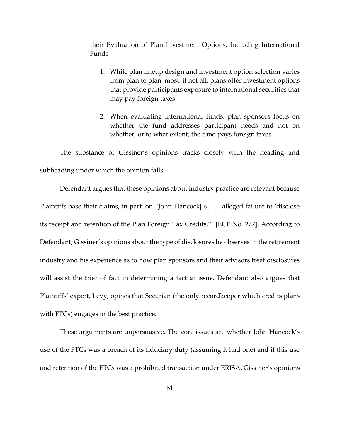their Evaluation of Plan Investment Options, Including International Funds

- 1. While plan lineup design and investment option selection varies from plan to plan, most, if not all, plans offer investment options that provide participants exposure to international securities that may pay foreign taxes
- 2. When evaluating international funds, plan sponsors focus on whether the fund addresses participant needs and not on whether, or to what extent, the fund pays foreign taxes

The substance of Gissiner's opinions tracks closely with the heading and subheading under which the opinion falls.

Defendant argues that these opinions about industry practice are relevant because Plaintiffs base their claims, in part, on "John Hancock['s] . . . alleged failure to 'disclose its receipt and retention of the Plan Foreign Tax Credits.'" [ECF No. 277]. According to Defendant, Gissiner's opinions about the type of disclosures he observes in the retirement industry and his experience as to how plan sponsors and their advisors treat disclosures will assist the trier of fact in determining a fact at issue. Defendant also argues that Plaintiffs' expert, Levy, opines that Securian (the only recordkeeper which credits plans with FTCs) engages in the best practice.

These arguments are unpersuasive. The core issues are whether John Hancock's use of the FTCs was a breach of its fiduciary duty (assuming it had one) and if this use and retention of the FTCs was a prohibited transaction under ERISA. Gissiner's opinions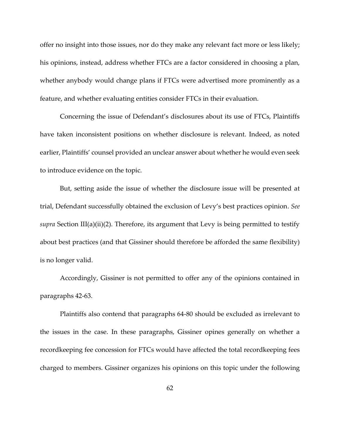offer no insight into those issues, nor do they make any relevant fact more or less likely; his opinions, instead, address whether FTCs are a factor considered in choosing a plan, whether anybody would change plans if FTCs were advertised more prominently as a feature, and whether evaluating entities consider FTCs in their evaluation.

Concerning the issue of Defendant's disclosures about its use of FTCs, Plaintiffs have taken inconsistent positions on whether disclosure is relevant. Indeed, as noted earlier, Plaintiffs' counsel provided an unclear answer about whether he would even seek to introduce evidence on the topic.

But, setting aside the issue of whether the disclosure issue will be presented at trial, Defendant successfully obtained the exclusion of Levy's best practices opinion. *See supra* Section III(a)(ii)(2). Therefore, its argument that Levy is being permitted to testify about best practices (and that Gissiner should therefore be afforded the same flexibility) is no longer valid.

Accordingly, Gissiner is not permitted to offer any of the opinions contained in paragraphs 42-63.

Plaintiffs also contend that paragraphs 64-80 should be excluded as irrelevant to the issues in the case. In these paragraphs, Gissiner opines generally on whether a recordkeeping fee concession for FTCs would have affected the total recordkeeping fees charged to members. Gissiner organizes his opinions on this topic under the following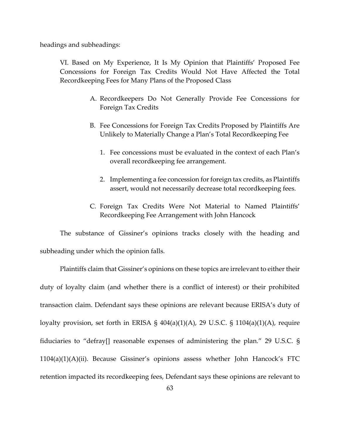headings and subheadings:

VI. Based on My Experience, It Is My Opinion that Plaintiffs' Proposed Fee Concessions for Foreign Tax Credits Would Not Have Affected the Total Recordkeeping Fees for Many Plans of the Proposed Class

- A. Recordkeepers Do Not Generally Provide Fee Concessions for Foreign Tax Credits
- B. Fee Concessions for Foreign Tax Credits Proposed by Plaintiffs Are Unlikely to Materially Change a Plan's Total Recordkeeping Fee
	- 1. Fee concessions must be evaluated in the context of each Plan's overall recordkeeping fee arrangement.
	- 2. Implementing a fee concession for foreign tax credits, as Plaintiffs assert, would not necessarily decrease total recordkeeping fees.
- C. Foreign Tax Credits Were Not Material to Named Plaintiffs' Recordkeeping Fee Arrangement with John Hancock

The substance of Gissiner's opinions tracks closely with the heading and subheading under which the opinion falls.

Plaintiffs claim that Gissiner's opinions on these topics are irrelevant to either their duty of loyalty claim (and whether there is a conflict of interest) or their prohibited transaction claim. Defendant says these opinions are relevant because ERISA's duty of loyalty provision, set forth in ERISA §  $404(a)(1)(A)$ , 29 U.S.C. § 1104 $(a)(1)(A)$ , require fiduciaries to "defray[] reasonable expenses of administering the plan." 29 U.S.C. § 1104(a)(1)(A)(ii). Because Gissiner's opinions assess whether John Hancock's FTC retention impacted its recordkeeping fees, Defendant says these opinions are relevant to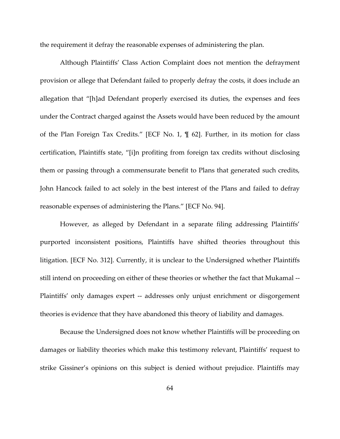the requirement it defray the reasonable expenses of administering the plan.

Although Plaintiffs' Class Action Complaint does not mention the defrayment provision or allege that Defendant failed to properly defray the costs, it does include an allegation that "[h]ad Defendant properly exercised its duties, the expenses and fees under the Contract charged against the Assets would have been reduced by the amount of the Plan Foreign Tax Credits." [ECF No. 1, ¶ 62]. Further, in its motion for class certification, Plaintiffs state, "[i]n profiting from foreign tax credits without disclosing them or passing through a commensurate benefit to Plans that generated such credits, John Hancock failed to act solely in the best interest of the Plans and failed to defray reasonable expenses of administering the Plans." [ECF No. 94].

However, as alleged by Defendant in a separate filing addressing Plaintiffs' purported inconsistent positions, Plaintiffs have shifted theories throughout this litigation. [ECF No. 312]. Currently, it is unclear to the Undersigned whether Plaintiffs still intend on proceeding on either of these theories or whether the fact that Mukamal -- Plaintiffs' only damages expert -- addresses only unjust enrichment or disgorgement theories is evidence that they have abandoned this theory of liability and damages.

Because the Undersigned does not know whether Plaintiffs will be proceeding on damages or liability theories which make this testimony relevant, Plaintiffs' request to strike Gissiner's opinions on this subject is denied without prejudice. Plaintiffs may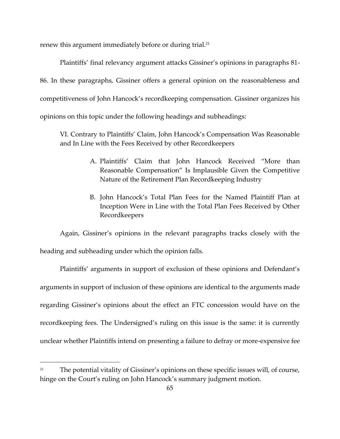renew this argument immediately before or during trial.<sup>21</sup>

Plaintiffs' final relevancy argument attacks Gissiner's opinions in paragraphs 81- 86. In these paragraphs, Gissiner offers a general opinion on the reasonableness and competitiveness of John Hancock's recordkeeping compensation. Gissiner organizes his opinions on this topic under the following headings and subheadings:

VI. Contrary to Plaintiffs' Claim, John Hancock's Compensation Was Reasonable and In Line with the Fees Received by other Recordkeepers

- A. Plaintiffs' Claim that John Hancock Received "More than Reasonable Compensation" Is Implausible Given the Competitive Nature of the Retirement Plan Recordkeeping Industry
- B. John Hancock's Total Plan Fees for the Named Plaintiff Plan at Inception Were in Line with the Total Plan Fees Received by Other Recordkeepers

Again, Gissiner's opinions in the relevant paragraphs tracks closely with the heading and subheading under which the opinion falls.

Plaintiffs' arguments in support of exclusion of these opinions and Defendant's arguments in support of inclusion of these opinions are identical to the arguments made regarding Gissiner's opinions about the effect an FTC concession would have on the recordkeeping fees. The Undersigned's ruling on this issue is the same: it is currently unclear whether Plaintiffs intend on presenting a failure to defray or more-expensive fee

<sup>&</sup>lt;sup>21</sup> The potential vitality of Gissiner's opinions on these specific issues will, of course, hinge on the Court's ruling on John Hancock's summary judgment motion.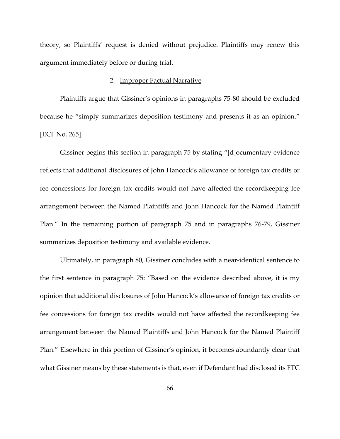theory, so Plaintiffs' request is denied without prejudice. Plaintiffs may renew this argument immediately before or during trial.

# 2. Improper Factual Narrative

Plaintiffs argue that Gissiner's opinions in paragraphs 75-80 should be excluded because he "simply summarizes deposition testimony and presents it as an opinion." [ECF No. 265].

Gissiner begins this section in paragraph 75 by stating "[d]ocumentary evidence reflects that additional disclosures of John Hancock's allowance of foreign tax credits or fee concessions for foreign tax credits would not have affected the recordkeeping fee arrangement between the Named Plaintiffs and John Hancock for the Named Plaintiff Plan." In the remaining portion of paragraph 75 and in paragraphs 76-79, Gissiner summarizes deposition testimony and available evidence.

Ultimately, in paragraph 80, Gissiner concludes with a near-identical sentence to the first sentence in paragraph 75: "Based on the evidence described above, it is my opinion that additional disclosures of John Hancock's allowance of foreign tax credits or fee concessions for foreign tax credits would not have affected the recordkeeping fee arrangement between the Named Plaintiffs and John Hancock for the Named Plaintiff Plan." Elsewhere in this portion of Gissiner's opinion, it becomes abundantly clear that what Gissiner means by these statements is that, even if Defendant had disclosed its FTC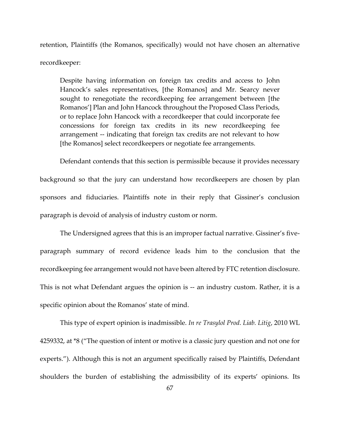retention, Plaintiffs (the Romanos, specifically) would not have chosen an alternative recordkeeper:

Despite having information on foreign tax credits and access to John Hancock's sales representatives, [the Romanos] and Mr. Searcy never sought to renegotiate the recordkeeping fee arrangement between [the Romanos'] Plan and John Hancock throughout the Proposed Class Periods, or to replace John Hancock with a recordkeeper that could incorporate fee concessions for foreign tax credits in its new recordkeeping fee arrangement -- indicating that foreign tax credits are not relevant to how [the Romanos] select recordkeepers or negotiate fee arrangements.

Defendant contends that this section is permissible because it provides necessary background so that the jury can understand how recordkeepers are chosen by plan sponsors and fiduciaries. Plaintiffs note in their reply that Gissiner's conclusion paragraph is devoid of analysis of industry custom or norm.

The Undersigned agrees that this is an improper factual narrative. Gissiner's fiveparagraph summary of record evidence leads him to the conclusion that the recordkeeping fee arrangement would not have been altered by FTC retention disclosure. This is not what Defendant argues the opinion is -- an industry custom. Rather, it is a specific opinion about the Romanos' state of mind.

This type of expert opinion is inadmissible. *In re Trasylol Prod. Liab. Litig*, 2010 WL 4259332, at \*8 ("The question of intent or motive is a classic jury question and not one for experts."). Although this is not an argument specifically raised by Plaintiffs, Defendant shoulders the burden of establishing the admissibility of its experts' opinions. Its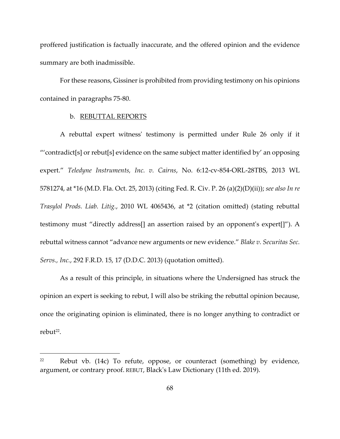proffered justification is factually inaccurate, and the offered opinion and the evidence summary are both inadmissible.

For these reasons, Gissiner is prohibited from providing testimony on his opinions contained in paragraphs 75-80.

### b. REBUTTAL REPORTS

A rebuttal expert witness' testimony is permitted under Rule 26 only if it "'contradict[s] or rebut[s] evidence on the same subject matter identified by' an opposing expert." *Teledyne Instruments, Inc. v. Cairns*, No. 6:12-cv-854-ORL-28TBS, 2013 WL 5781274, at \*16 (M.D. Fla. Oct. 25, 2013) (citing Fed. R. Civ. P. 26 (a)(2)(D)(ii)); *see also In re Trasylol Prods. Liab. Litig.*, 2010 WL 4065436, at \*2 (citation omitted) (stating rebuttal testimony must "directly address[] an assertion raised by an opponent's expert[]"). A rebuttal witness cannot "advance new arguments or new evidence." *Blake v. Securitas Sec. Servs., Inc.*, 292 F.R.D. 15, 17 (D.D.C. 2013) (quotation omitted).

As a result of this principle, in situations where the Undersigned has struck the opinion an expert is seeking to rebut, I will also be striking the rebuttal opinion because, once the originating opinion is eliminated, there is no longer anything to contradict or rebut<sup>22</sup>.

 $22$  Rebut vb. (14c) To refute, oppose, or counteract (something) by evidence, argument, or contrary proof. REBUT, Black's Law Dictionary (11th ed. 2019).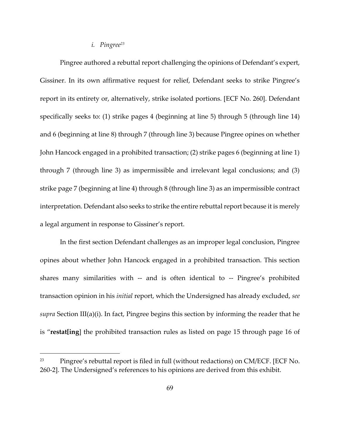#### *i. Pingree<sup>23</sup>*

Pingree authored a rebuttal report challenging the opinions of Defendant's expert, Gissiner. In its own affirmative request for relief, Defendant seeks to strike Pingree's report in its entirety or, alternatively, strike isolated portions. [ECF No. 260]. Defendant specifically seeks to: (1) strike pages 4 (beginning at line 5) through 5 (through line 14) and 6 (beginning at line 8) through 7 (through line 3) because Pingree opines on whether John Hancock engaged in a prohibited transaction; (2) strike pages 6 (beginning at line 1) through 7 (through line 3) as impermissible and irrelevant legal conclusions; and (3) strike page 7 (beginning at line 4) through 8 (through line 3) as an impermissible contract interpretation. Defendant also seeks to strike the entire rebuttal report because it is merely a legal argument in response to Gissiner's report.

In the first section Defendant challenges as an improper legal conclusion, Pingree opines about whether John Hancock engaged in a prohibited transaction. This section shares many similarities with -- and is often identical to -- Pingree's prohibited transaction opinion in his *initial* report, which the Undersigned has already excluded, *see supra* Section III(a)(i). In fact, Pingree begins this section by informing the reader that he is "**restat[ing**] the prohibited transaction rules as listed on page 15 through page 16 of

<sup>23</sup> Pingree's rebuttal report is filed in full (without redactions) on CM/ECF. [ECF No. 260-2]. The Undersigned's references to his opinions are derived from this exhibit.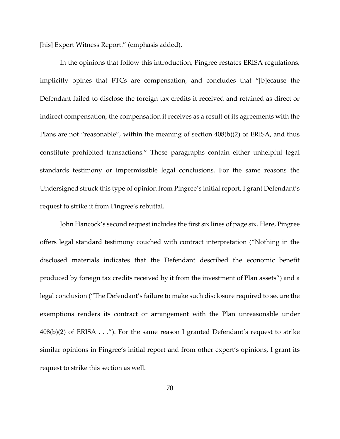[his] Expert Witness Report." (emphasis added).

In the opinions that follow this introduction, Pingree restates ERISA regulations, implicitly opines that FTCs are compensation, and concludes that "[b]ecause the Defendant failed to disclose the foreign tax credits it received and retained as direct or indirect compensation, the compensation it receives as a result of its agreements with the Plans are not "reasonable", within the meaning of section 408(b)(2) of ERISA, and thus constitute prohibited transactions." These paragraphs contain either unhelpful legal standards testimony or impermissible legal conclusions. For the same reasons the Undersigned struck this type of opinion from Pingree's initial report, I grant Defendant's request to strike it from Pingree's rebuttal.

John Hancock's second request includes the first six lines of page six. Here, Pingree offers legal standard testimony couched with contract interpretation ("Nothing in the disclosed materials indicates that the Defendant described the economic benefit produced by foreign tax credits received by it from the investment of Plan assets") and a legal conclusion ("The Defendant's failure to make such disclosure required to secure the exemptions renders its contract or arrangement with the Plan unreasonable under  $408(b)(2)$  of ERISA . . ."). For the same reason I granted Defendant's request to strike similar opinions in Pingree's initial report and from other expert's opinions, I grant its request to strike this section as well.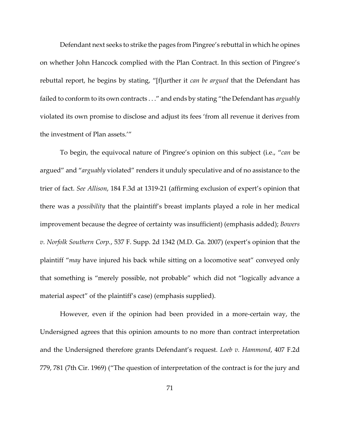Defendant next seeks to strike the pages from Pingree's rebuttal in which he opines on whether John Hancock complied with the Plan Contract. In this section of Pingree's rebuttal report, he begins by stating, "[f]urther it *can be argued* that the Defendant has failed to conform to its own contracts . . ." and ends by stating "the Defendant has *arguably* violated its own promise to disclose and adjust its fees 'from all revenue it derives from the investment of Plan assets.'"

To begin, the equivocal nature of Pingree's opinion on this subject (i.e., "*can* be argued" and "*arguably* violated" renders it unduly speculative and of no assistance to the trier of fact. *See Allison*, 184 F.3d at 1319-21 (affirming exclusion of expert's opinion that there was a *possibility* that the plaintiff's breast implants played a role in her medical improvement because the degree of certainty was insufficient) (emphasis added); *Bowers v. Norfolk Southern Corp.*, 537 F. Supp. 2d 1342 (M.D. Ga. 2007) (expert's opinion that the plaintiff "*may* have injured his back while sitting on a locomotive seat" conveyed only that something is "merely possible, not probable" which did not "logically advance a material aspect" of the plaintiff's case) (emphasis supplied).

However, even if the opinion had been provided in a more-certain way, the Undersigned agrees that this opinion amounts to no more than contract interpretation and the Undersigned therefore grants Defendant's request. *Loeb v. Hammond*, 407 F.2d 779, 781 (7th Cir. 1969) ("The question of interpretation of the contract is for the jury and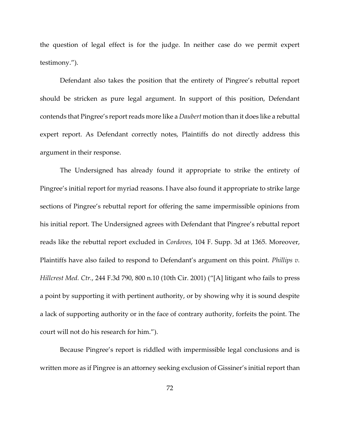the question of legal effect is for the judge. In neither case do we permit expert testimony.").

Defendant also takes the position that the entirety of Pingree's rebuttal report should be stricken as pure legal argument. In support of this position, Defendant contends that Pingree's report reads more like a *Daubert* motion than it does like a rebuttal expert report. As Defendant correctly notes, Plaintiffs do not directly address this argument in their response.

The Undersigned has already found it appropriate to strike the entirety of Pingree's initial report for myriad reasons. I have also found it appropriate to strike large sections of Pingree's rebuttal report for offering the same impermissible opinions from his initial report. The Undersigned agrees with Defendant that Pingree's rebuttal report reads like the rebuttal report excluded in *Cordoves*, 104 F. Supp. 3d at 1365. Moreover, Plaintiffs have also failed to respond to Defendant's argument on this point. *Phillips v. Hillcrest Med. Ctr.*, 244 F.3d 790, 800 n.10 (10th Cir. 2001) ("[A] litigant who fails to press a point by supporting it with pertinent authority, or by showing why it is sound despite a lack of supporting authority or in the face of contrary authority, forfeits the point. The court will not do his research for him.").

Because Pingree's report is riddled with impermissible legal conclusions and is written more as if Pingree is an attorney seeking exclusion of Gissiner's initial report than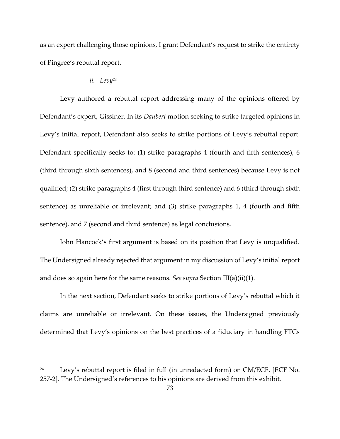as an expert challenging those opinions, I grant Defendant's request to strike the entirety of Pingree's rebuttal report.

# *ii. Levy<sup>24</sup>*

Levy authored a rebuttal report addressing many of the opinions offered by Defendant's expert, Gissiner. In its *Daubert* motion seeking to strike targeted opinions in Levy's initial report, Defendant also seeks to strike portions of Levy's rebuttal report. Defendant specifically seeks to: (1) strike paragraphs 4 (fourth and fifth sentences), 6 (third through sixth sentences), and 8 (second and third sentences) because Levy is not qualified; (2) strike paragraphs 4 (first through third sentence) and 6 (third through sixth sentence) as unreliable or irrelevant; and (3) strike paragraphs 1, 4 (fourth and fifth sentence), and 7 (second and third sentence) as legal conclusions.

John Hancock's first argument is based on its position that Levy is unqualified. The Undersigned already rejected that argument in my discussion of Levy's initial report and does so again here for the same reasons. *See supra* Section III(a)(ii)(1).

In the next section, Defendant seeks to strike portions of Levy's rebuttal which it claims are unreliable or irrelevant. On these issues, the Undersigned previously determined that Levy's opinions on the best practices of a fiduciary in handling FTCs

 $24$  Levy's rebuttal report is filed in full (in unredacted form) on CM/ECF. [ECF No. 257-2]. The Undersigned's references to his opinions are derived from this exhibit.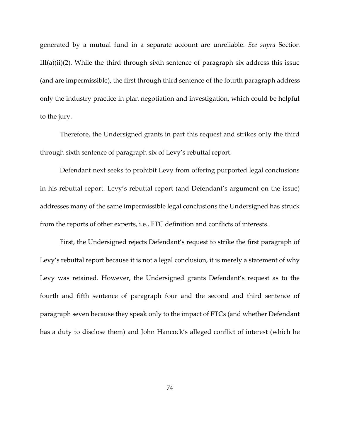generated by a mutual fund in a separate account are unreliable. *See supra* Section  $III(a)(ii)(2)$ . While the third through sixth sentence of paragraph six address this issue (and are impermissible), the first through third sentence of the fourth paragraph address only the industry practice in plan negotiation and investigation, which could be helpful to the jury.

Therefore, the Undersigned grants in part this request and strikes only the third through sixth sentence of paragraph six of Levy's rebuttal report.

Defendant next seeks to prohibit Levy from offering purported legal conclusions in his rebuttal report. Levy's rebuttal report (and Defendant's argument on the issue) addresses many of the same impermissible legal conclusions the Undersigned has struck from the reports of other experts, i.e., FTC definition and conflicts of interests.

First, the Undersigned rejects Defendant's request to strike the first paragraph of Levy's rebuttal report because it is not a legal conclusion, it is merely a statement of why Levy was retained. However, the Undersigned grants Defendant's request as to the fourth and fifth sentence of paragraph four and the second and third sentence of paragraph seven because they speak only to the impact of FTCs (and whether Defendant has a duty to disclose them) and John Hancock's alleged conflict of interest (which he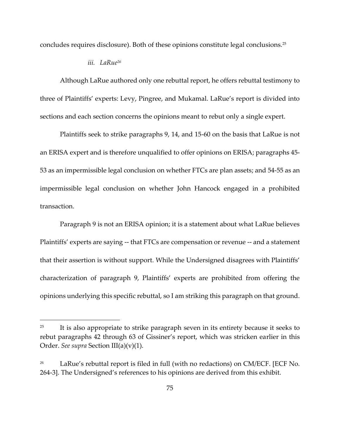concludes requires disclosure). Both of these opinions constitute legal conclusions.<sup>25</sup>

#### *iii. LaRue<sup>26</sup>*

Although LaRue authored only one rebuttal report, he offers rebuttal testimony to three of Plaintiffs' experts: Levy, Pingree, and Mukamal. LaRue's report is divided into sections and each section concerns the opinions meant to rebut only a single expert.

Plaintiffs seek to strike paragraphs 9, 14, and 15-60 on the basis that LaRue is not an ERISA expert and is therefore unqualified to offer opinions on ERISA; paragraphs 45- 53 as an impermissible legal conclusion on whether FTCs are plan assets; and 54-55 as an impermissible legal conclusion on whether John Hancock engaged in a prohibited transaction.

Paragraph 9 is not an ERISA opinion; it is a statement about what LaRue believes Plaintiffs' experts are saying -- that FTCs are compensation or revenue -- and a statement that their assertion is without support. While the Undersigned disagrees with Plaintiffs' characterization of paragraph 9, Plaintiffs' experts are prohibited from offering the opinions underlying this specific rebuttal, so I am striking this paragraph on that ground.

<sup>&</sup>lt;sup>25</sup> It is also appropriate to strike paragraph seven in its entirety because it seeks to rebut paragraphs 42 through 63 of Gissiner's report, which was stricken earlier in this Order. *See supra* Section III(a)(v)(1).

LaRue's rebuttal report is filed in full (with no redactions) on CM/ECF. [ECF No. 264-3]. The Undersigned's references to his opinions are derived from this exhibit.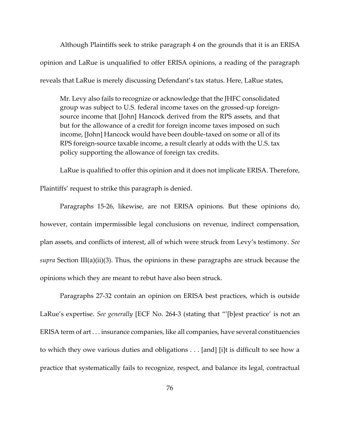Although Plaintiffs seek to strike paragraph 4 on the grounds that it is an ERISA opinion and LaRue is unqualified to offer ERISA opinions, a reading of the paragraph reveals that LaRue is merely discussing Defendant's tax status. Here, LaRue states,

Mr. Levy also fails to recognize or acknowledge that the JHFC consolidated group was subject to U.S. federal income taxes on the grossed-up foreignsource income that [John] Hancock derived from the RPS assets, and that but for the allowance of a credit for foreign income taxes imposed on such income, [John] Hancock would have been double-taxed on some or all of its RPS foreign-source taxable income, a result clearly at odds with the U.S. tax policy supporting the allowance of foreign tax credits.

LaRue is qualified to offer this opinion and it does not implicate ERISA. Therefore, Plaintiffs' request to strike this paragraph is denied.

Paragraphs 15-26, likewise, are not ERISA opinions. But these opinions do, however, contain impermissible legal conclusions on revenue, indirect compensation, plan assets, and conflicts of interest, all of which were struck from Levy's testimony. *See supra* Section III(a)(ii)(3). Thus, the opinions in these paragraphs are struck because the opinions which they are meant to rebut have also been struck.

Paragraphs 27-32 contain an opinion on ERISA best practices, which is outside LaRue's expertise. *See generally* [ECF No. 264-3 (stating that "'[b]est practice' is not an ERISA term of art . . . insurance companies, like all companies, have several constituencies to which they owe various duties and obligations . . . [and] [i]t is difficult to see how a practice that systematically fails to recognize, respect, and balance its legal, contractual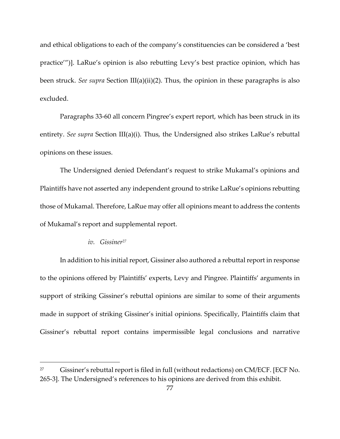and ethical obligations to each of the company's constituencies can be considered a 'best practice'")]. LaRue's opinion is also rebutting Levy's best practice opinion, which has been struck. *See supra* Section III(a)(ii)(2). Thus, the opinion in these paragraphs is also excluded.

Paragraphs 33-60 all concern Pingree's expert report, which has been struck in its entirety. *See supra* Section III(a)(i). Thus, the Undersigned also strikes LaRue's rebuttal opinions on these issues.

The Undersigned denied Defendant's request to strike Mukamal's opinions and Plaintiffs have not asserted any independent ground to strike LaRue's opinions rebutting those of Mukamal. Therefore, LaRue may offer all opinions meant to address the contents of Mukamal's report and supplemental report.

# *iv. Gissiner<sup>27</sup>*

In addition to his initial report, Gissiner also authored a rebuttal report in response to the opinions offered by Plaintiffs' experts, Levy and Pingree. Plaintiffs' arguments in support of striking Gissiner's rebuttal opinions are similar to some of their arguments made in support of striking Gissiner's initial opinions. Specifically, Plaintiffs claim that Gissiner's rebuttal report contains impermissible legal conclusions and narrative

<sup>&</sup>lt;sup>27</sup> Gissiner's rebuttal report is filed in full (without redactions) on CM/ECF. [ECF No. 265-3]. The Undersigned's references to his opinions are derived from this exhibit.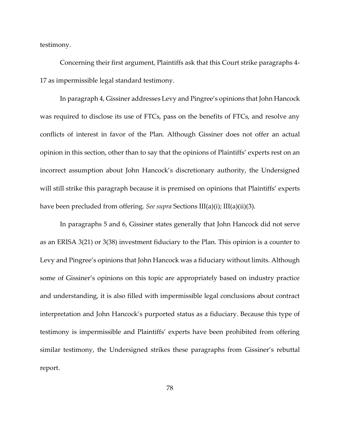testimony.

Concerning their first argument, Plaintiffs ask that this Court strike paragraphs 4- 17 as impermissible legal standard testimony.

In paragraph 4, Gissiner addresses Levy and Pingree's opinions that John Hancock was required to disclose its use of FTCs, pass on the benefits of FTCs, and resolve any conflicts of interest in favor of the Plan. Although Gissiner does not offer an actual opinion in this section, other than to say that the opinions of Plaintiffs' experts rest on an incorrect assumption about John Hancock's discretionary authority, the Undersigned will still strike this paragraph because it is premised on opinions that Plaintiffs' experts have been precluded from offering. *See supra* Sections III(a)(i); III(a)(ii)(3).

In paragraphs 5 and 6, Gissiner states generally that John Hancock did not serve as an ERISA 3(21) or 3(38) investment fiduciary to the Plan. This opinion is a counter to Levy and Pingree's opinions that John Hancock was a fiduciary without limits. Although some of Gissiner's opinions on this topic are appropriately based on industry practice and understanding, it is also filled with impermissible legal conclusions about contract interpretation and John Hancock's purported status as a fiduciary. Because this type of testimony is impermissible and Plaintiffs' experts have been prohibited from offering similar testimony, the Undersigned strikes these paragraphs from Gissiner's rebuttal report.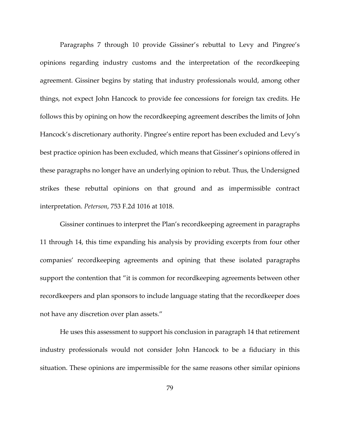Paragraphs 7 through 10 provide Gissiner's rebuttal to Levy and Pingree's opinions regarding industry customs and the interpretation of the recordkeeping agreement. Gissiner begins by stating that industry professionals would, among other things, not expect John Hancock to provide fee concessions for foreign tax credits. He follows this by opining on how the recordkeeping agreement describes the limits of John Hancock's discretionary authority. Pingree's entire report has been excluded and Levy's best practice opinion has been excluded, which means that Gissiner's opinions offered in these paragraphs no longer have an underlying opinion to rebut. Thus, the Undersigned strikes these rebuttal opinions on that ground and as impermissible contract interpretation. *Peterson*, 753 F.2d 1016 at 1018.

Gissiner continues to interpret the Plan's recordkeeping agreement in paragraphs 11 through 14, this time expanding his analysis by providing excerpts from four other companies' recordkeeping agreements and opining that these isolated paragraphs support the contention that "it is common for recordkeeping agreements between other recordkeepers and plan sponsors to include language stating that the recordkeeper does not have any discretion over plan assets."

He uses this assessment to support his conclusion in paragraph 14 that retirement industry professionals would not consider John Hancock to be a fiduciary in this situation. These opinions are impermissible for the same reasons other similar opinions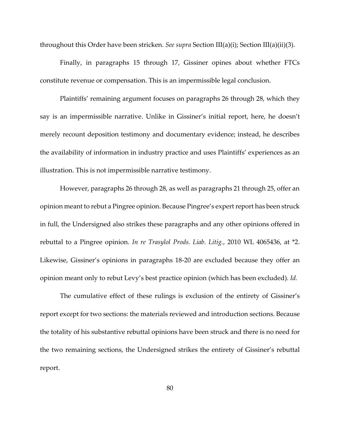throughout this Order have been stricken. *See supra* Section III(a)(i); Section III(a)(ii)(3).

Finally, in paragraphs 15 through 17, Gissiner opines about whether FTCs constitute revenue or compensation. This is an impermissible legal conclusion.

Plaintiffs' remaining argument focuses on paragraphs 26 through 28, which they say is an impermissible narrative. Unlike in Gissiner's initial report, here, he doesn't merely recount deposition testimony and documentary evidence; instead, he describes the availability of information in industry practice and uses Plaintiffs' experiences as an illustration. This is not impermissible narrative testimony.

However, paragraphs 26 through 28, as well as paragraphs 21 through 25, offer an opinion meant to rebut a Pingree opinion. Because Pingree's expert report has been struck in full, the Undersigned also strikes these paragraphs and any other opinions offered in rebuttal to a Pingree opinion. *In re Trasylol Prods. Liab. Litig.*, 2010 WL 4065436, at \*2. Likewise, Gissiner's opinions in paragraphs 18-20 are excluded because they offer an opinion meant only to rebut Levy's best practice opinion (which has been excluded). *Id.*

The cumulative effect of these rulings is exclusion of the entirety of Gissiner's report except for two sections: the materials reviewed and introduction sections. Because the totality of his substantive rebuttal opinions have been struck and there is no need for the two remaining sections, the Undersigned strikes the entirety of Gissiner's rebuttal report.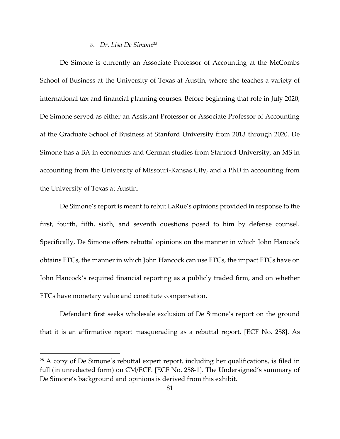### *v. Dr. Lisa De Simone<sup>28</sup>*

De Simone is currently an Associate Professor of Accounting at the McCombs School of Business at the University of Texas at Austin, where she teaches a variety of international tax and financial planning courses. Before beginning that role in July 2020, De Simone served as either an Assistant Professor or Associate Professor of Accounting at the Graduate School of Business at Stanford University from 2013 through 2020. De Simone has a BA in economics and German studies from Stanford University, an MS in accounting from the University of Missouri-Kansas City, and a PhD in accounting from the University of Texas at Austin.

De Simone's report is meant to rebut LaRue's opinions provided in response to the first, fourth, fifth, sixth, and seventh questions posed to him by defense counsel. Specifically, De Simone offers rebuttal opinions on the manner in which John Hancock obtains FTCs, the manner in which John Hancock can use FTCs, the impact FTCs have on John Hancock's required financial reporting as a publicly traded firm, and on whether FTCs have monetary value and constitute compensation.

Defendant first seeks wholesale exclusion of De Simone's report on the ground that it is an affirmative report masquerading as a rebuttal report. [ECF No. 258]. As

<sup>28</sup> A copy of De Simone's rebuttal expert report, including her qualifications, is filed in full (in unredacted form) on CM/ECF. [ECF No. 258-1]. The Undersigned's summary of De Simone's background and opinions is derived from this exhibit.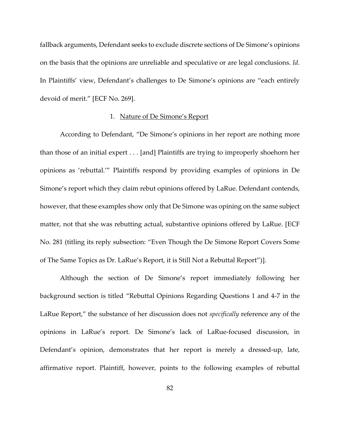fallback arguments, Defendant seeks to exclude discrete sections of De Simone's opinions on the basis that the opinions are unreliable and speculative or are legal conclusions. *Id.*  In Plaintiffs' view, Defendant's challenges to De Simone's opinions are "each entirely devoid of merit." [ECF No. 269].

### 1. Nature of De Simone's Report

According to Defendant, "De Simone's opinions in her report are nothing more than those of an initial expert . . . [and] Plaintiffs are trying to improperly shoehorn her opinions as 'rebuttal.'" Plaintiffs respond by providing examples of opinions in De Simone's report which they claim rebut opinions offered by LaRue. Defendant contends, however, that these examples show only that De Simone was opining on the same subject matter, not that she was rebutting actual, substantive opinions offered by LaRue. [ECF No. 281 (titling its reply subsection: "Even Though the De Simone Report Covers Some of The Same Topics as Dr. LaRue's Report, it is Still Not a Rebuttal Report")].

Although the section of De Simone's report immediately following her background section is titled "Rebuttal Opinions Regarding Questions 1 and 4-7 in the LaRue Report," the substance of her discussion does not *specifically* reference any of the opinions in LaRue's report. De Simone's lack of LaRue-focused discussion, in Defendant's opinion, demonstrates that her report is merely a dressed-up, late, affirmative report. Plaintiff, however, points to the following examples of rebuttal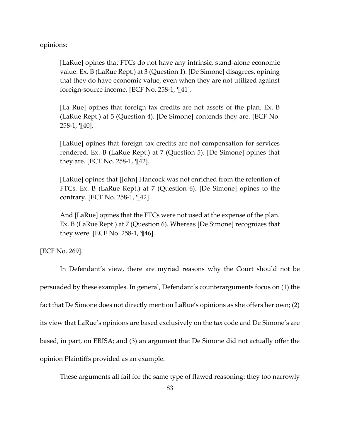opinions:

[LaRue] opines that FTCs do not have any intrinsic, stand-alone economic value. Ex. B (LaRue Rept.) at 3 (Question 1). [De Simone] disagrees, opining that they do have economic value, even when they are not utilized against foreign-source income. [ECF No. 258-1, ¶41].

[La Rue] opines that foreign tax credits are not assets of the plan. Ex. B (LaRue Rept.) at 5 (Question 4). [De Simone] contends they are. [ECF No. 258-1, ¶40].

[LaRue] opines that foreign tax credits are not compensation for services rendered. Ex. B (LaRue Rept.) at 7 (Question 5). [De Simone] opines that they are. [ECF No. 258-1, ¶42].

[LaRue] opines that [John] Hancock was not enriched from the retention of FTCs. Ex. B (LaRue Rept.) at 7 (Question 6). [De Simone] opines to the contrary. [ECF No. 258-1, ¶42].

And [LaRue] opines that the FTCs were not used at the expense of the plan. Ex. B (LaRue Rept.) at 7 (Question 6). Whereas [De Simone] recognizes that they were. [ECF No. 258-1, ¶46].

[ECF No. 269].

In Defendant's view, there are myriad reasons why the Court should not be persuaded by these examples. In general, Defendant's counterarguments focus on (1) the fact that De Simone does not directly mention LaRue's opinions as she offers her own; (2) its view that LaRue's opinions are based exclusively on the tax code and De Simone's are based, in part, on ERISA; and (3) an argument that De Simone did not actually offer the opinion Plaintiffs provided as an example.

These arguments all fail for the same type of flawed reasoning: they too narrowly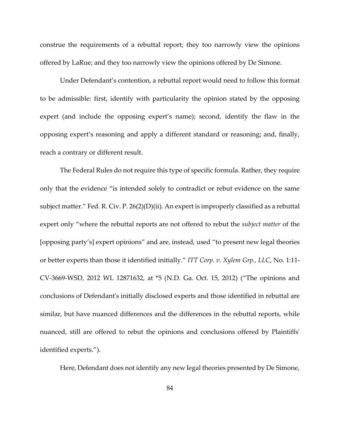construe the requirements of a rebuttal report; they too narrowly view the opinions offered by LaRue; and they too narrowly view the opinions offered by De Simone.

Under Defendant's contention, a rebuttal report would need to follow this format to be admissible: first, identify with particularity the opinion stated by the opposing expert (and include the opposing expert's name); second, identify the flaw in the opposing expert's reasoning and apply a different standard or reasoning; and, finally, reach a contrary or different result.

The Federal Rules do not require this type of specific formula. Rather, they require only that the evidence "is intended solely to contradict or rebut evidence on the same subject matter." Fed. R. Civ. P. 26(2)(D)(ii). An expert is improperly classified as a rebuttal expert only "where the rebuttal reports are not offered to rebut the *subject matter* of the [opposing party's] expert opinions" and are, instead, used "to present new legal theories or better experts than those it identified initially." *ITT Corp. v. Xylem Grp., LLC*, No. 1:11- CV-3669-WSD, 2012 WL 12871632, at \*5 (N.D. Ga. Oct. 15, 2012) ("The opinions and conclusions of Defendant's initially disclosed experts and those identified in rebuttal are similar, but have nuanced differences and the differences in the rebuttal reports, while nuanced, still are offered to rebut the opinions and conclusions offered by Plaintiffs' identified experts.").

Here, Defendant does not identify any new legal theories presented by De Simone,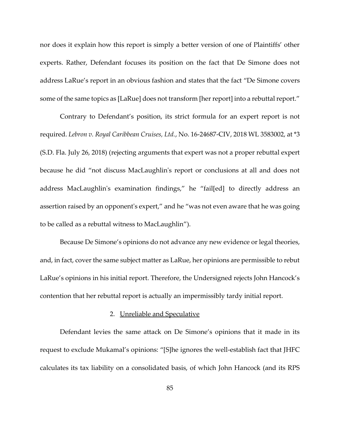nor does it explain how this report is simply a better version of one of Plaintiffs' other experts. Rather, Defendant focuses its position on the fact that De Simone does not address LaRue's report in an obvious fashion and states that the fact "De Simone covers some of the same topics as [LaRue] does not transform [her report] into a rebuttal report."

Contrary to Defendant's position, its strict formula for an expert report is not required. *Lebron v. Royal Caribbean Cruises, Ltd.*, No. 16-24687-CIV, 2018 WL 3583002, at \*3 (S.D. Fla. July 26, 2018) (rejecting arguments that expert was not a proper rebuttal expert because he did "not discuss MacLaughlin's report or conclusions at all and does not address MacLaughlin's examination findings," he "fail[ed] to directly address an assertion raised by an opponent's expert," and he "was not even aware that he was going to be called as a rebuttal witness to MacLaughlin").

Because De Simone's opinions do not advance any new evidence or legal theories, and, in fact, cover the same subject matter as LaRue, her opinions are permissible to rebut LaRue's opinions in his initial report. Therefore, the Undersigned rejects John Hancock's contention that her rebuttal report is actually an impermissibly tardy initial report.

# 2. Unreliable and Speculative

Defendant levies the same attack on De Simone's opinions that it made in its request to exclude Mukamal's opinions: "[S]he ignores the well-establish fact that JHFC calculates its tax liability on a consolidated basis, of which John Hancock (and its RPS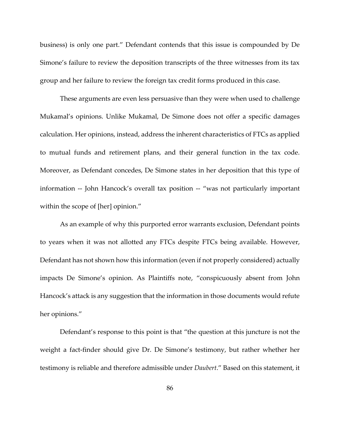business) is only one part." Defendant contends that this issue is compounded by De Simone's failure to review the deposition transcripts of the three witnesses from its tax group and her failure to review the foreign tax credit forms produced in this case.

These arguments are even less persuasive than they were when used to challenge Mukamal's opinions. Unlike Mukamal, De Simone does not offer a specific damages calculation. Her opinions, instead, address the inherent characteristics of FTCs as applied to mutual funds and retirement plans, and their general function in the tax code. Moreover, as Defendant concedes, De Simone states in her deposition that this type of information -- John Hancock's overall tax position -- "was not particularly important within the scope of [her] opinion."

As an example of why this purported error warrants exclusion, Defendant points to years when it was not allotted any FTCs despite FTCs being available. However, Defendant has not shown how this information (even if not properly considered) actually impacts De Simone's opinion. As Plaintiffs note, "conspicuously absent from John Hancock's attack is any suggestion that the information in those documents would refute her opinions."

Defendant's response to this point is that "the question at this juncture is not the weight a fact-finder should give Dr. De Simone's testimony, but rather whether her testimony is reliable and therefore admissible under *Daubert*." Based on this statement, it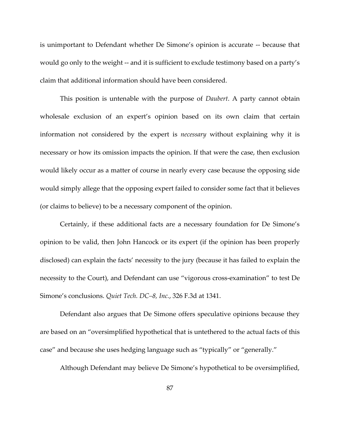is unimportant to Defendant whether De Simone's opinion is accurate -- because that would go only to the weight -- and it is sufficient to exclude testimony based on a party's claim that additional information should have been considered.

This position is untenable with the purpose of *Daubert*. A party cannot obtain wholesale exclusion of an expert's opinion based on its own claim that certain information not considered by the expert is *necessary* without explaining why it is necessary or how its omission impacts the opinion. If that were the case, then exclusion would likely occur as a matter of course in nearly every case because the opposing side would simply allege that the opposing expert failed to consider some fact that it believes (or claims to believe) to be a necessary component of the opinion.

Certainly, if these additional facts are a necessary foundation for De Simone's opinion to be valid, then John Hancock or its expert (if the opinion has been properly disclosed) can explain the facts' necessity to the jury (because it has failed to explain the necessity to the Court), and Defendant can use "vigorous cross-examination" to test De Simone's conclusions. *Quiet Tech. DC–8, Inc.*, 326 F.3d at 1341.

Defendant also argues that De Simone offers speculative opinions because they are based on an "oversimplified hypothetical that is untethered to the actual facts of this case" and because she uses hedging language such as "typically" or "generally."

Although Defendant may believe De Simone's hypothetical to be oversimplified,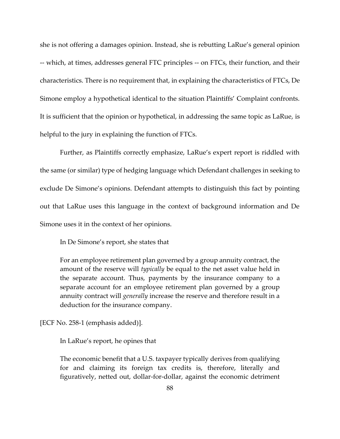she is not offering a damages opinion. Instead, she is rebutting LaRue's general opinion -- which, at times, addresses general FTC principles -- on FTCs, their function, and their characteristics. There is no requirement that, in explaining the characteristics of FTCs, De Simone employ a hypothetical identical to the situation Plaintiffs' Complaint confronts. It is sufficient that the opinion or hypothetical, in addressing the same topic as LaRue, is helpful to the jury in explaining the function of FTCs.

Further, as Plaintiffs correctly emphasize, LaRue's expert report is riddled with the same (or similar) type of hedging language which Defendant challenges in seeking to exclude De Simone's opinions. Defendant attempts to distinguish this fact by pointing out that LaRue uses this language in the context of background information and De Simone uses it in the context of her opinions.

In De Simone's report, she states that

For an employee retirement plan governed by a group annuity contract, the amount of the reserve will *typically* be equal to the net asset value held in the separate account. Thus, payments by the insurance company to a separate account for an employee retirement plan governed by a group annuity contract will *generally* increase the reserve and therefore result in a deduction for the insurance company.

[ECF No. 258-1 (emphasis added)].

In LaRue's report, he opines that

The economic benefit that a U.S. taxpayer typically derives from qualifying for and claiming its foreign tax credits is, therefore, literally and figuratively, netted out, dollar-for-dollar, against the economic detriment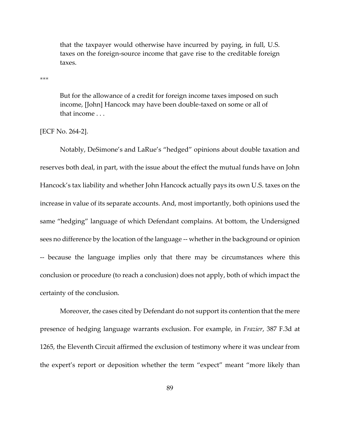that the taxpayer would otherwise have incurred by paying, in full, U.S. taxes on the foreign-source income that gave rise to the creditable foreign taxes.

\*\*\*

But for the allowance of a credit for foreign income taxes imposed on such income, [John] Hancock may have been double-taxed on some or all of that income . . .

[ECF No. 264-2].

Notably, DeSimone's and LaRue's "hedged" opinions about double taxation and reserves both deal, in part, with the issue about the effect the mutual funds have on John Hancock's tax liability and whether John Hancock actually pays its own U.S. taxes on the increase in value of its separate accounts. And, most importantly, both opinions used the same "hedging" language of which Defendant complains. At bottom, the Undersigned sees no difference by the location of the language -- whether in the background or opinion -- because the language implies only that there may be circumstances where this conclusion or procedure (to reach a conclusion) does not apply, both of which impact the certainty of the conclusion.

Moreover, the cases cited by Defendant do not support its contention that the mere presence of hedging language warrants exclusion. For example, in *Frazier*, 387 F.3d at 1265, the Eleventh Circuit affirmed the exclusion of testimony where it was unclear from the expert's report or deposition whether the term "expect" meant "more likely than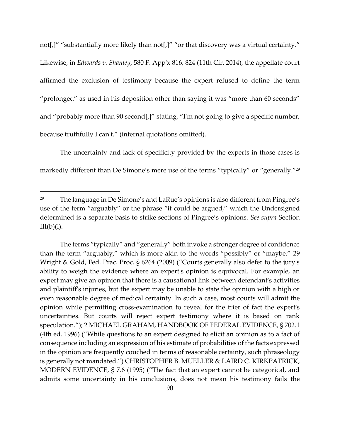not[,]" "substantially more likely than not[,]" "or that discovery was a virtual certainty." Likewise, in *Edwards v. Shanley*, 580 F. App'x 816, 824 (11th Cir. 2014), the appellate court affirmed the exclusion of testimony because the expert refused to define the term "prolonged" as used in his deposition other than saying it was "more than 60 seconds" and "probably more than 90 second[,]" stating, "I'm not going to give a specific number, because truthfully I can't." (internal quotations omitted).

The uncertainty and lack of specificity provided by the experts in those cases is markedly different than De Simone's mere use of the terms "typically" or "generally." 29

<sup>&</sup>lt;sup>29</sup> The language in De Simone's and LaRue's opinions is also different from Pingree's use of the term "arguably" or the phrase "it could be argued," which the Undersigned determined is a separate basis to strike sections of Pingree's opinions. *See supra* Section  $III(b)(i)$ .

The terms "typically" and "generally" both invoke a stronger degree of confidence than the term "arguably," which is more akin to the words "possibly" or "maybe." 29 Wright & Gold, Fed. Prac. Proc. § 6264 (2009) ("Courts generally also defer to the jury's ability to weigh the evidence where an expert's opinion is equivocal. For example, an expert may give an opinion that there is a causational link between defendant's activities and plaintiff's injuries, but the expert may be unable to state the opinion with a high or even reasonable degree of medical certainty. In such a case, most courts will admit the opinion while permitting cross-examination to reveal for the trier of fact the expert's uncertainties. But courts will reject expert testimony where it is based on rank speculation."); 2 MICHAEL GRAHAM, HANDBOOK OF FEDERAL EVIDENCE, § 702.1 (4th ed. 1996) ("While questions to an expert designed to elicit an opinion as to a fact of consequence including an expression of his estimate of probabilities of the facts expressed in the opinion are frequently couched in terms of reasonable certainty, such phraseology is generally not mandated.") CHRISTOPHER B. MUELLER & LAIRD C. KIRKPATRICK, MODERN EVIDENCE, § 7.6 (1995) ("The fact that an expert cannot be categorical, and admits some uncertainty in his conclusions, does not mean his testimony fails the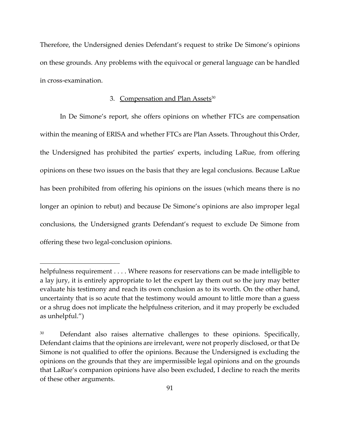Therefore, the Undersigned denies Defendant's request to strike De Simone's opinions on these grounds. Any problems with the equivocal or general language can be handled in cross-examination.

### 3. Compensation and Plan Assets<sup>30</sup>

In De Simone's report, she offers opinions on whether FTCs are compensation within the meaning of ERISA and whether FTCs are Plan Assets. Throughout this Order, the Undersigned has prohibited the parties' experts, including LaRue, from offering opinions on these two issues on the basis that they are legal conclusions. Because LaRue has been prohibited from offering his opinions on the issues (which means there is no longer an opinion to rebut) and because De Simone's opinions are also improper legal conclusions, the Undersigned grants Defendant's request to exclude De Simone from offering these two legal-conclusion opinions.

helpfulness requirement . . . . Where reasons for reservations can be made intelligible to a lay jury, it is entirely appropriate to let the expert lay them out so the jury may better evaluate his testimony and reach its own conclusion as to its worth. On the other hand, uncertainty that is so acute that the testimony would amount to little more than a guess or a shrug does not implicate the helpfulness criterion, and it may properly be excluded as unhelpful.")

<sup>&</sup>lt;sup>30</sup> Defendant also raises alternative challenges to these opinions. Specifically, Defendant claims that the opinions are irrelevant, were not properly disclosed, or that De Simone is not qualified to offer the opinions. Because the Undersigned is excluding the opinions on the grounds that they are impermissible legal opinions and on the grounds that LaRue's companion opinions have also been excluded, I decline to reach the merits of these other arguments.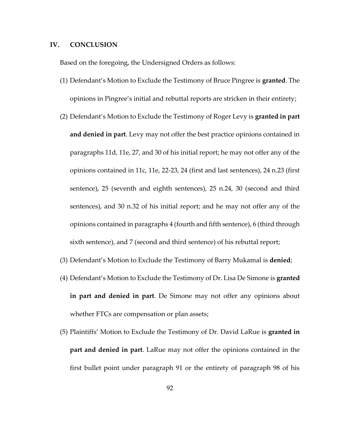#### **IV. CONCLUSION**

Based on the foregoing, the Undersigned Orders as follows:

- (1) Defendant's Motion to Exclude the Testimony of Bruce Pingree is **granted**. The opinions in Pingree's initial and rebuttal reports are stricken in their entirety;
- (2) Defendant's Motion to Exclude the Testimony of Roger Levy is **granted in part and denied in part**. Levy may not offer the best practice opinions contained in paragraphs 11d, 11e, 27, and 30 of his initial report; he may not offer any of the opinions contained in 11c, 11e, 22-23, 24 (first and last sentences), 24 n.23 (first sentence), 25 (seventh and eighth sentences), 25 n.24, 30 (second and third sentences), and 30 n.32 of his initial report; and he may not offer any of the opinions contained in paragraphs 4 (fourth and fifth sentence), 6 (third through sixth sentence), and 7 (second and third sentence) of his rebuttal report;
- (3) Defendant's Motion to Exclude the Testimony of Barry Mukamal is **denied**;
- (4) Defendant's Motion to Exclude the Testimony of Dr. Lisa De Simone is **granted in part and denied in part**. De Simone may not offer any opinions about whether FTCs are compensation or plan assets;
- (5) Plaintiffs' Motion to Exclude the Testimony of Dr. David LaRue is **granted in part and denied in part**. LaRue may not offer the opinions contained in the first bullet point under paragraph 91 or the entirety of paragraph 98 of his